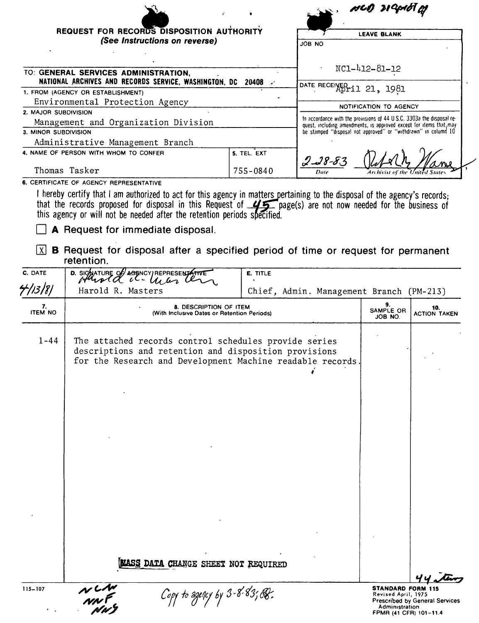|                                                                                                                                                                      |             |                          | NCO 21 Corol of                                                                                                                              |
|----------------------------------------------------------------------------------------------------------------------------------------------------------------------|-------------|--------------------------|----------------------------------------------------------------------------------------------------------------------------------------------|
| REQUEST FOR RECORDS DISPOSITION AUTHORITY                                                                                                                            |             |                          | <b>LEAVE BLANK</b>                                                                                                                           |
| (See Instructions on reverse)                                                                                                                                        |             | JÓB NO                   |                                                                                                                                              |
| TO: GENERAL SERVICES ADMINISTRATION,<br>NATIONAL ARCHIVES AND RECORDS SERVICE, WASHINGTON, DC 20408 4                                                                |             |                          | NC1-412-81-12                                                                                                                                |
| 1. FROM (AGENCY OR ESTABLISHMENT)                                                                                                                                    |             | DATE RECENED 11 21, 1981 |                                                                                                                                              |
| Environmental Protection Agency                                                                                                                                      |             |                          | NOTIFICATION TO AGENCY                                                                                                                       |
| 2. MAJOR SUBDIVISION                                                                                                                                                 |             |                          |                                                                                                                                              |
| Management and Organization Division                                                                                                                                 |             |                          | In accordance with the provisions of 44 U S.C. 3303a the disposal re-<br>quest, including amendments, is approved except for items that, may |
| 3. MINOR SUBDIVISION                                                                                                                                                 |             |                          | be stamped "disposal not approved" or "withdrawn" in column 10                                                                               |
| Administrative Management Branch                                                                                                                                     |             |                          |                                                                                                                                              |
| 4. NAME OF PERSON WITH WHOM TO CONFER                                                                                                                                | 5. TEL. EXT | $2 - 38 - 83$            |                                                                                                                                              |
| Thomas Tasker                                                                                                                                                        | 755-0840    | Date                     | Archivist of the United States                                                                                                               |
| 6. CERTIFICATE OF AGENCY REPRESENTATIVE<br>hereby certify that I am authorized to act for this agency in matters pertaining to the disposal of the agency's records. |             |                          |                                                                                                                                              |

I nereby certity that I am authorized to act for this agency in matters pertaining to the disposal of the agency's records;<br>that the records proposed for disposal in this Request of  $\frac{1}{\sqrt{2}}$  page(s) are not now needed

 $\Box$  A Request for immediate disposal.

 $\boxed{\times}$  **B** Request for disposal after a specified period of time or request for permanent retention.

| C. DATE              | D. SIGNATURE OF AGENCY REPRESENTATIVE                                                                                                                                        | E. TITLE                                 |                                                                                             |                                       |
|----------------------|------------------------------------------------------------------------------------------------------------------------------------------------------------------------------|------------------------------------------|---------------------------------------------------------------------------------------------|---------------------------------------|
| 4/13/8/              | Harold R. Masters                                                                                                                                                            | Chief, Admin. Management Branch (PM-213) |                                                                                             |                                       |
| 7.<br><b>ITEM NO</b> | 8. DESCRIPTION OF ITEM<br>(With Inclusive Dates or Retention Periods)                                                                                                        |                                          | 9.<br>SAMPLE OR<br>JOB NO.                                                                  | 10.<br><b>ACTION TAKEN</b>            |
| $1 - 44$             | The attached records control schedules provide series<br>descriptions and retention and disposition provisions<br>for the Research and Development Machine readable records. |                                          |                                                                                             |                                       |
|                      |                                                                                                                                                                              |                                          |                                                                                             |                                       |
|                      |                                                                                                                                                                              |                                          |                                                                                             |                                       |
|                      |                                                                                                                                                                              |                                          |                                                                                             |                                       |
|                      | MASS DATA CHANGE SHEET NOT REQUIRED                                                                                                                                          |                                          |                                                                                             |                                       |
| 115-107              | $\sim$<br>Copy to agency by 3-8-83; B.                                                                                                                                       |                                          | <b>STANDARD FORM 115</b><br>Revised April, 1975<br>Administration<br>FPMR (41 CFR) 101-11.4 | <b>Prescribed by General Services</b> |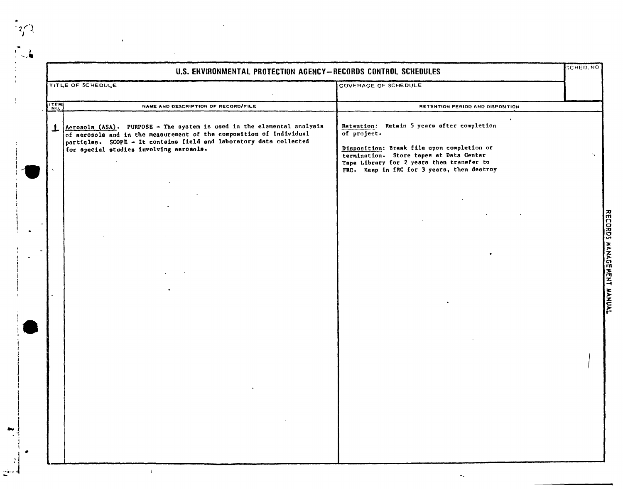|      | U.S. ENVIRONMENTAL PROTECTION AGENCY-RECORDS CONTROL SCHEDULES                                                                                                                                                                                                 |                                                                                                                                                                                                                                                          | <b>SCHED, NO</b> |
|------|----------------------------------------------------------------------------------------------------------------------------------------------------------------------------------------------------------------------------------------------------------------|----------------------------------------------------------------------------------------------------------------------------------------------------------------------------------------------------------------------------------------------------------|------------------|
|      | TITLE OF SCHEDULE                                                                                                                                                                                                                                              | COVERAGE OF SCHEDULE                                                                                                                                                                                                                                     |                  |
| ITEM | NAME AND DESCRIPTION OF RECORD/FILE                                                                                                                                                                                                                            | RETENTION PERIOD AND DISPOSITION                                                                                                                                                                                                                         |                  |
|      | Aerosols (ASA). PURPOSE - The system is used in the elemental analysis<br>of aerosols and in the measurement of the composition of individual<br>particles. SCOPE - It contains field and laboratory data collected<br>for special studies involving aerosols. | $\cdot$<br>Retention: Retain 5 years after completion<br>of project.<br>Disposition: Break file upon completion or<br>termination. Store tapes at Data Center<br>Tape Library for 2 years then transfer to<br>FRC. Keep in fRC for 3 years, then destroy | $\cdot$ .        |
|      |                                                                                                                                                                                                                                                                |                                                                                                                                                                                                                                                          |                  |
|      |                                                                                                                                                                                                                                                                |                                                                                                                                                                                                                                                          |                  |
|      |                                                                                                                                                                                                                                                                |                                                                                                                                                                                                                                                          |                  |
|      |                                                                                                                                                                                                                                                                |                                                                                                                                                                                                                                                          |                  |
|      |                                                                                                                                                                                                                                                                |                                                                                                                                                                                                                                                          |                  |

 $\mathbf{r}$  . i 1

 $\mathbb{R}^2$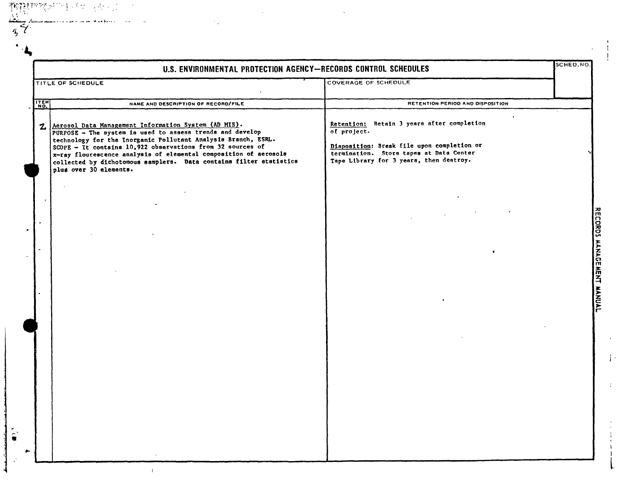|              | U.S. ENVIRONMENTAL PROTECTION AGENCY-RECORDS CONTROL SCHEDULES                                                                                                                                                                                                                                                                                                                                                         |                                                                                                                                                                                                            | SCHED.NO. |
|--------------|------------------------------------------------------------------------------------------------------------------------------------------------------------------------------------------------------------------------------------------------------------------------------------------------------------------------------------------------------------------------------------------------------------------------|------------------------------------------------------------------------------------------------------------------------------------------------------------------------------------------------------------|-----------|
|              | TITLE OF SCHEDULE                                                                                                                                                                                                                                                                                                                                                                                                      | <b>COVERAGE OF SCHEDULE</b>                                                                                                                                                                                |           |
| ITEM         | NAME AND DESCRIPTION OF RECORD/FILE                                                                                                                                                                                                                                                                                                                                                                                    | RETENTION PERIOD AND DISPOSITION                                                                                                                                                                           |           |
| $\mathbf{z}$ | Aerosol Data Management Information System (AD MIS).<br>PURPOSE - The system is used to assess trends and develop<br>technology for the Inorganic Pollutant Analysis Branch, ESRL.<br>$SCOPE$ - It contains 10,922 observations from 32 sources of<br>x-ray flourescence analysis of elemental composition of aerosols<br>collected by dichotomous samplers. Data contains filter ststistics<br>plus over 30 elements. | $\bullet$<br>Retention: Retain 3 years after completion<br>of project.<br>Disposition: Break file upon completion or<br>termination. Store tapes at Data Center<br>Tape Library for 3 years, then destroy. |           |
|              | $\cdot$                                                                                                                                                                                                                                                                                                                                                                                                                |                                                                                                                                                                                                            |           |
|              |                                                                                                                                                                                                                                                                                                                                                                                                                        |                                                                                                                                                                                                            |           |
|              |                                                                                                                                                                                                                                                                                                                                                                                                                        |                                                                                                                                                                                                            |           |
|              |                                                                                                                                                                                                                                                                                                                                                                                                                        |                                                                                                                                                                                                            |           |
|              |                                                                                                                                                                                                                                                                                                                                                                                                                        |                                                                                                                                                                                                            |           |
|              |                                                                                                                                                                                                                                                                                                                                                                                                                        |                                                                                                                                                                                                            |           |
|              |                                                                                                                                                                                                                                                                                                                                                                                                                        |                                                                                                                                                                                                            |           |
|              |                                                                                                                                                                                                                                                                                                                                                                                                                        |                                                                                                                                                                                                            |           |
|              |                                                                                                                                                                                                                                                                                                                                                                                                                        |                                                                                                                                                                                                            |           |

 $\hat{\bullet}$ 

 $\hat{T}$ 

Ŀ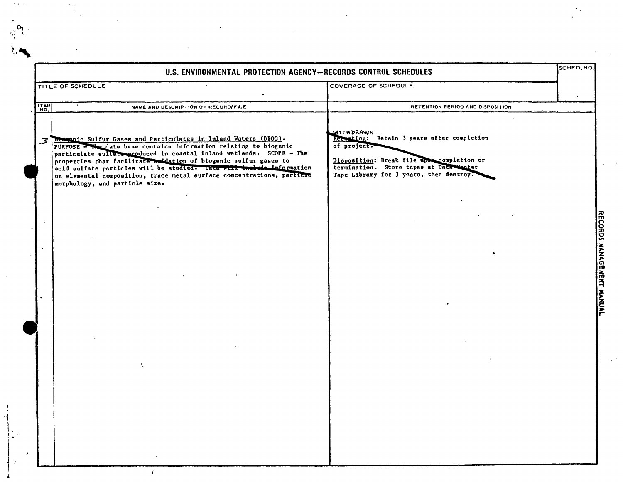|      | U.S. ENVIRONMENTAL PROTECTION AGENCY-RECORDS CONTROL SCHEDULES                                                                                                                                                                                                                                                                                                                                                                                                           |                                                                                                                                                                                                                         | SCHED.NO                  |
|------|--------------------------------------------------------------------------------------------------------------------------------------------------------------------------------------------------------------------------------------------------------------------------------------------------------------------------------------------------------------------------------------------------------------------------------------------------------------------------|-------------------------------------------------------------------------------------------------------------------------------------------------------------------------------------------------------------------------|---------------------------|
|      | TITLE OF SCHEDULE                                                                                                                                                                                                                                                                                                                                                                                                                                                        | COVERAGE OF SCHEDULE                                                                                                                                                                                                    |                           |
| ITEM | NAME AND DESCRIPTION OF RECORD/FILE                                                                                                                                                                                                                                                                                                                                                                                                                                      | RETENTION PERIOD AND DISPOSITION                                                                                                                                                                                        |                           |
|      | 3 Dismante Sulfur Gases and Particulates in Inland Waters (BIOG).<br>PURPOSE - The data base contains information relating to biogenic<br>particulate sulface produced in coastal inland wetlands. SCOPE - The<br>properties that facilitate on dation of biogenic sulfur gases to<br>acid sulfate particles will be studied. Unta with two bude information<br>on elemental composition, trace metal surface concentrations, particle<br>morphology, and particle size. | $\bullet$<br>WITHDRAWN<br>Reteation: Retain 3 years after completion<br>of project.<br>Disposition: Break file upon completion or<br>termination. Store tapes at Data Senter<br>Tape Library for 3 years, then destroy. |                           |
|      |                                                                                                                                                                                                                                                                                                                                                                                                                                                                          |                                                                                                                                                                                                                         | RECORDS MANAGEMENT MANUAL |
|      |                                                                                                                                                                                                                                                                                                                                                                                                                                                                          |                                                                                                                                                                                                                         |                           |
|      |                                                                                                                                                                                                                                                                                                                                                                                                                                                                          |                                                                                                                                                                                                                         |                           |
|      |                                                                                                                                                                                                                                                                                                                                                                                                                                                                          |                                                                                                                                                                                                                         |                           |

 $\frac{1}{\sqrt{2}}\sum_{i=1}^{n} \frac{1}{\sqrt{2}}\left(\frac{1}{\sqrt{2}}\right)^2$ 

 $\frac{1}{2}$  ,  $\frac{1}{2}$ 

 $\begin{array}{c} 1 \\ 1 \\ 1 \end{array}$ 

 $\begin{bmatrix} 1 & 1 \\ 1 & 1 \\ 1 & 1 \end{bmatrix}$ 

 $\Delta \sim 10^4$ 

 $\label{eq:2.1} \frac{1}{\sqrt{2}}\int_{0}^{\infty}\frac{1}{\sqrt{2\pi}}\left(\frac{1}{\sqrt{2\pi}}\right)^{2}d\mu\,d\mu\,.$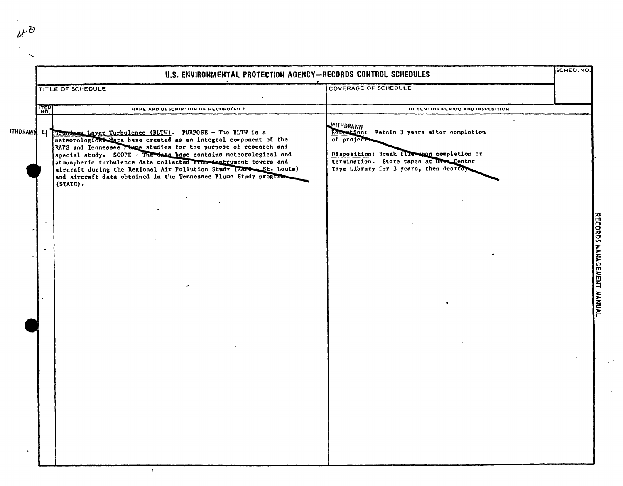|            |                   | U.S. ENVIRONMENTAL PROTECTION AGENCY-RECORDS CONTROL SCHEDULES                                                                                                                                                                                                                                                                                                                                                                                                                                |                                                                                                                                                                                                          | SCHED.NO. |
|------------|-------------------|-----------------------------------------------------------------------------------------------------------------------------------------------------------------------------------------------------------------------------------------------------------------------------------------------------------------------------------------------------------------------------------------------------------------------------------------------------------------------------------------------|----------------------------------------------------------------------------------------------------------------------------------------------------------------------------------------------------------|-----------|
|            | TITLE OF SCHEDULE |                                                                                                                                                                                                                                                                                                                                                                                                                                                                                               | COVERAGE OF SCHEDULE                                                                                                                                                                                     |           |
|            | ITEM              | NAME AND DESCRIPTION OF RECORD/FILE                                                                                                                                                                                                                                                                                                                                                                                                                                                           | RETENTION PERIOD AND DISPOSITION                                                                                                                                                                         |           |
| ITHDRAW세 니 |                   | Boundary Layer Turbulence (BLTW). PURPOSE - The BLTW is a<br>meteorological data base created as an integral component of the<br>RAPS and Tennessee Plume studies for the purpose of research and<br>special study. SCOPE - The take base contains meteorological and<br>atmospheric turbulence data collected from instrument towers and<br>aircraft during the Regional Air Pollution Study (RAPS-St. Louis)<br>and aircraft data obtained in the Tennessee Plume Study program<br>(STATE). | WITHDRAWN<br>Retention: Retain 3 years after completion<br>of project<br>Disposition: Break fire upon completion or<br>termination. Store tapes at Date Center<br>Tape Library for 3 years, then destroy |           |
|            |                   |                                                                                                                                                                                                                                                                                                                                                                                                                                                                                               |                                                                                                                                                                                                          |           |
|            | $\blacksquare$    |                                                                                                                                                                                                                                                                                                                                                                                                                                                                                               |                                                                                                                                                                                                          |           |
|            |                   |                                                                                                                                                                                                                                                                                                                                                                                                                                                                                               |                                                                                                                                                                                                          |           |
|            |                   |                                                                                                                                                                                                                                                                                                                                                                                                                                                                                               |                                                                                                                                                                                                          |           |
|            |                   |                                                                                                                                                                                                                                                                                                                                                                                                                                                                                               |                                                                                                                                                                                                          |           |
|            |                   |                                                                                                                                                                                                                                                                                                                                                                                                                                                                                               |                                                                                                                                                                                                          |           |
|            |                   |                                                                                                                                                                                                                                                                                                                                                                                                                                                                                               |                                                                                                                                                                                                          |           |
|            |                   |                                                                                                                                                                                                                                                                                                                                                                                                                                                                                               |                                                                                                                                                                                                          |           |
|            |                   |                                                                                                                                                                                                                                                                                                                                                                                                                                                                                               |                                                                                                                                                                                                          |           |

 $\mu$ 

 $\mathbb{R}$ 

RECORDS MANAGEMENT MANGAL

 $\mathcal{L}^{(2)}$ 

 $\bar{z}$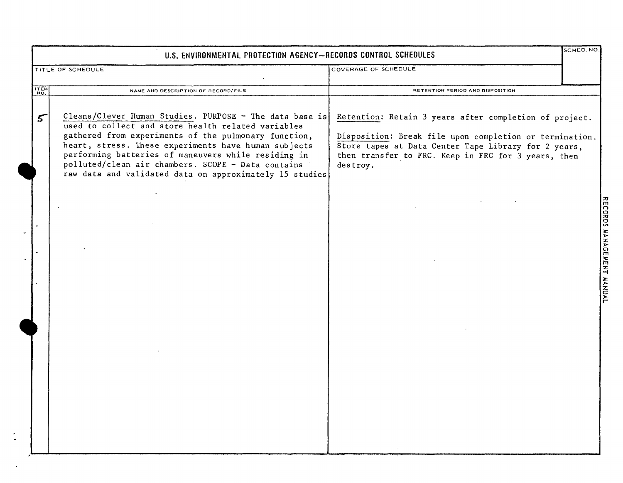|             | SCHED.NO<br>U.S. ENVIRONMENTAL PROTECTION AGENCY-RECORDS CONTROL SCHEDULES                                                                                                                                                                                                                                                                                                                            |                                                                                                                                                                                                                                              |                                                               |  |  |  |
|-------------|-------------------------------------------------------------------------------------------------------------------------------------------------------------------------------------------------------------------------------------------------------------------------------------------------------------------------------------------------------------------------------------------------------|----------------------------------------------------------------------------------------------------------------------------------------------------------------------------------------------------------------------------------------------|---------------------------------------------------------------|--|--|--|
|             | TITLE OF SCHEDULE                                                                                                                                                                                                                                                                                                                                                                                     | COVERAGE OF SCHEDULE                                                                                                                                                                                                                         |                                                               |  |  |  |
| ITEM<br>NO. | NAME AND DESCRIPTION OF RECORD/FILE                                                                                                                                                                                                                                                                                                                                                                   | RETENTION PERIOD AND DISPOSITION                                                                                                                                                                                                             |                                                               |  |  |  |
| 5           | Cleans/Clever Human Studies. PURPOSE - The data base is<br>used to collect and store health related variables<br>gathered from experiments of the pulmonary function,<br>heart, stress. These experiments have human subjects<br>performing batteries of maneuvers while residing in<br>polluted/clean air chambers. SCOPE - Data contains<br>raw data and validated data on approximately 15 studies | Retention: Retain 3 years after completion of project.<br>Disposition: Break file upon completion or termination.<br>Store tapes at Data Center Tape Library for 2 years,<br>then transfer to FRC. Keep in FRC for 3 years, then<br>destroy. |                                                               |  |  |  |
|             |                                                                                                                                                                                                                                                                                                                                                                                                       |                                                                                                                                                                                                                                              | <b>DRDS</b><br><b>HANAGE</b><br><b>INENT</b><br><b>HANNAL</b> |  |  |  |
|             |                                                                                                                                                                                                                                                                                                                                                                                                       |                                                                                                                                                                                                                                              |                                                               |  |  |  |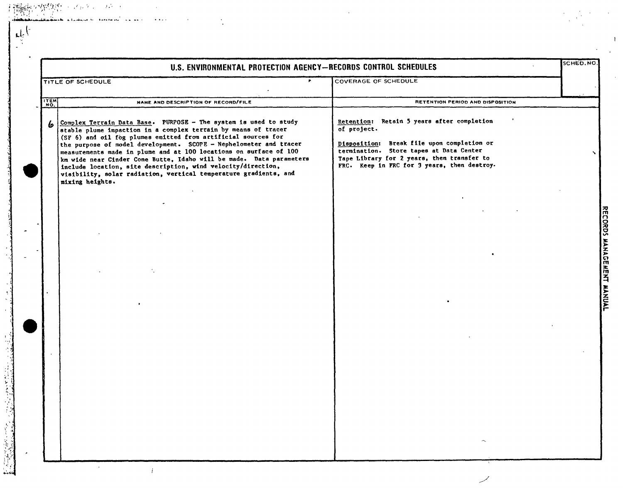|      | U.S. ENVIRONMENTAL PROTECTION AGENCY-RECORDS CONTROL SCHEDULES                                                                                                                                                                                                                                                                                                                                                                                                                                                                                                                |                                                                                                                                                                                                                                                 | <b>SCHED.NO</b> |
|------|-------------------------------------------------------------------------------------------------------------------------------------------------------------------------------------------------------------------------------------------------------------------------------------------------------------------------------------------------------------------------------------------------------------------------------------------------------------------------------------------------------------------------------------------------------------------------------|-------------------------------------------------------------------------------------------------------------------------------------------------------------------------------------------------------------------------------------------------|-----------------|
|      | $\mathbf{r}$<br>TITLE OF SCHEDULE                                                                                                                                                                                                                                                                                                                                                                                                                                                                                                                                             | COVERAGE OF SCHEDULE                                                                                                                                                                                                                            |                 |
| ITEM | NAME AND DESCRIPTION OF RECORD/FILE                                                                                                                                                                                                                                                                                                                                                                                                                                                                                                                                           | RETENTION PERIOD AND DISPOSITION                                                                                                                                                                                                                |                 |
|      | 6 Complex Terrain Data Base. PURPOSE - The system is used to study<br>stable plume impaction in a complex terrain by means of tracer<br>(SF 6) and oil fog plumes emitted from artificial sources for<br>the purpose of model development. SCOPE - Nephelometer and tracer<br>measurements made in plume and at 100 locations on surface of 100<br>km wide near Cinder Cone Butte, Idaho will be made. Data parameters<br>include location, site description, wind velocity/direction,<br>visibility, solar radiation, vertical temperature gradients, and<br>mixing heights. | Retention: Retain 5 years after completion<br>of project.<br>Disposition: Break file upon completion or<br>termination. Store tapes at Data Center<br>Tape Library for 2 years, then transfer to<br>FRC. Keep in FRC for 3 years, then destroy. |                 |
|      |                                                                                                                                                                                                                                                                                                                                                                                                                                                                                                                                                                               |                                                                                                                                                                                                                                                 |                 |
|      |                                                                                                                                                                                                                                                                                                                                                                                                                                                                                                                                                                               |                                                                                                                                                                                                                                                 |                 |
|      |                                                                                                                                                                                                                                                                                                                                                                                                                                                                                                                                                                               |                                                                                                                                                                                                                                                 |                 |
|      |                                                                                                                                                                                                                                                                                                                                                                                                                                                                                                                                                                               |                                                                                                                                                                                                                                                 |                 |
|      |                                                                                                                                                                                                                                                                                                                                                                                                                                                                                                                                                                               |                                                                                                                                                                                                                                                 |                 |
|      |                                                                                                                                                                                                                                                                                                                                                                                                                                                                                                                                                                               |                                                                                                                                                                                                                                                 |                 |
|      |                                                                                                                                                                                                                                                                                                                                                                                                                                                                                                                                                                               |                                                                                                                                                                                                                                                 |                 |
|      |                                                                                                                                                                                                                                                                                                                                                                                                                                                                                                                                                                               |                                                                                                                                                                                                                                                 |                 |

 $\mathbf{t}$ 

 $\cdot$  :

a politikalní politik († 1869)<br>18. listopadu – John John Hart, branský kniherenský kniherenský<br>2. listopadu – John John John Hart, branský kniherenský kn

أأنطر مطابعتك أراحه المتهملسة للور

**Contract Contract** 

المتعاقبات المتعاطف

 $\sim$ 

 $\dot{\gamma}$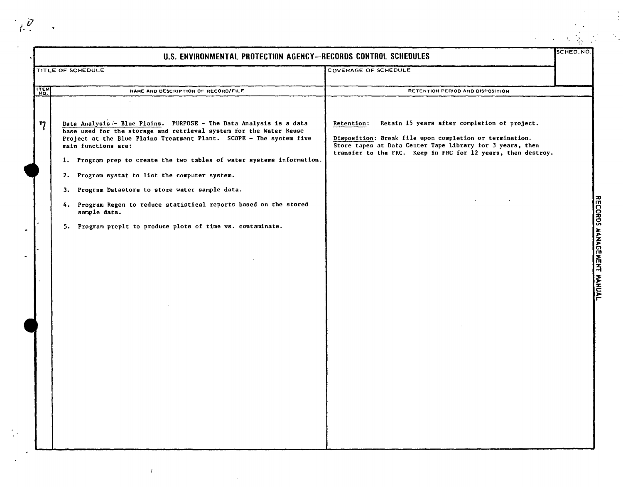|              | U.S. ENVIRONMENTAL PROTECTION AGENCY-RECORDS CONTROL SCHEDULES                                                                                                                                                                                                                                                                                                                                                                                                                                                                                                              |                                                                                                                                                                                                                                                    | SCHED, NO |
|--------------|-----------------------------------------------------------------------------------------------------------------------------------------------------------------------------------------------------------------------------------------------------------------------------------------------------------------------------------------------------------------------------------------------------------------------------------------------------------------------------------------------------------------------------------------------------------------------------|----------------------------------------------------------------------------------------------------------------------------------------------------------------------------------------------------------------------------------------------------|-----------|
|              | TITLE OF SCHEDULE                                                                                                                                                                                                                                                                                                                                                                                                                                                                                                                                                           | COVERAGE OF SCHEDULE                                                                                                                                                                                                                               |           |
| <b>ITEM</b>  | NAME AND DESCRIPTION OF RECORD/FILE                                                                                                                                                                                                                                                                                                                                                                                                                                                                                                                                         | RETENTION PERIOD AND DISPOSITION                                                                                                                                                                                                                   |           |
| $\mathbf{7}$ | Data Analysis - Blue Plains. PURPOSE - The Data Analysis is a data<br>base used for the storage and retrieval system for the Water Reuse<br>Project at the Blue Plains Treatment Plant. SCOPE - The system five<br>main functions are:<br>1. Program prep to create the two tables of water systems information.<br>2. Program systat to list the computer system.<br>3. Program Datastore to store water sample data.<br>4. Program Regen to reduce statistical reports based on the stored<br>sample data.<br>5. Program preplt to produce plots of time vs. contaminate. | Retain 15 years after completion of project.<br>Retention:<br>Disposition: Break file upon completion or termination.<br>Store tapes at Data Center Tape Library for 3 years, then<br>transfer to the FRC. Keep in FRC for 12 years, then destroy. |           |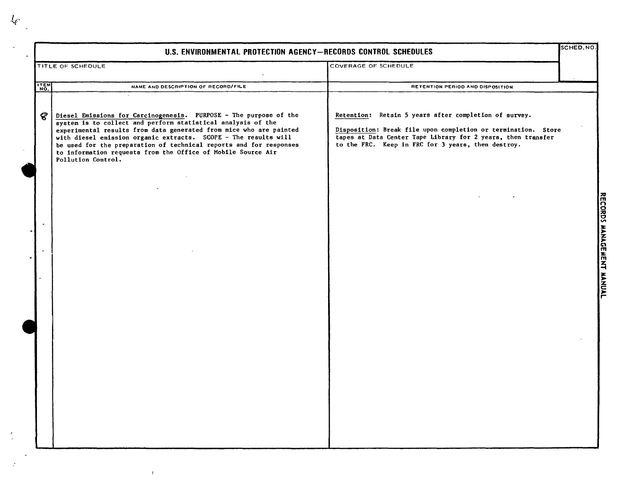|             | U.S. ENVIRONMENTAL PROTECTION AGENCY-RECORDS CONTROL SCHEDULES                                                                                                                                                                                                                                                                                                                                                                         |                                                                                                                                                                                                                                              | SCHED.NO.                 |
|-------------|----------------------------------------------------------------------------------------------------------------------------------------------------------------------------------------------------------------------------------------------------------------------------------------------------------------------------------------------------------------------------------------------------------------------------------------|----------------------------------------------------------------------------------------------------------------------------------------------------------------------------------------------------------------------------------------------|---------------------------|
|             | TITLE OF SCHEDULE                                                                                                                                                                                                                                                                                                                                                                                                                      | <b>COVERAGE OF SCHEDULE</b>                                                                                                                                                                                                                  |                           |
| <b>ITEM</b> | NAME AND DESCRIPTION OF RECORD/FILE                                                                                                                                                                                                                                                                                                                                                                                                    | RETENTION PERIOD AND DISPOSITION                                                                                                                                                                                                             |                           |
| ଙ           | Diesel Emissions for Carcinogenesis. PURPOSE - The purpose of the<br>system is to collect and perform statistical analysis of the<br>experimental results from data generated from mice who are painted<br>with diesel emission organic extracts. SCOPE - The results will<br>be used for the preparation of technical reports and for responses<br>to information requests from the Office of Mobile Source Air<br>Pollution Control. | Retention: Retain 5 years after completion of survey.<br>Disposition: Break file upon completion or termination. Store<br>tapes at Data Center Tape Library for 2 years, then transfer<br>to the FRC. Keep in FRC for 3 years, then destroy. |                           |
|             |                                                                                                                                                                                                                                                                                                                                                                                                                                        |                                                                                                                                                                                                                                              | RECORDS MANAGEMENT MANUAL |
|             |                                                                                                                                                                                                                                                                                                                                                                                                                                        |                                                                                                                                                                                                                                              |                           |
|             |                                                                                                                                                                                                                                                                                                                                                                                                                                        |                                                                                                                                                                                                                                              |                           |

 $\mathcal{L}_{\!\mathscr{C}}$ 

 $\frac{1}{\sqrt{2}}$ 

 $\hat{\mathbb{C}}$ 

 $\frac{1}{2}$ 

 $\mathcal{L}^{\text{max}}_{\text{max}}$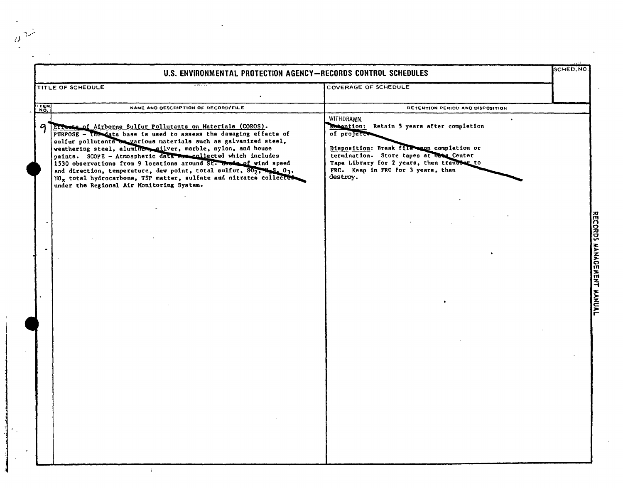|      | U.S. ENVIRONMENTAL PROTECTION AGENCY-RECORDS CONTROL SCHEDULES<br>$-100 - 100$                                                                                                                                                                                                                                                                                                                                                                                                                                                                                                                                       |                                                                                                                                                                                                                                                                             |  |
|------|----------------------------------------------------------------------------------------------------------------------------------------------------------------------------------------------------------------------------------------------------------------------------------------------------------------------------------------------------------------------------------------------------------------------------------------------------------------------------------------------------------------------------------------------------------------------------------------------------------------------|-----------------------------------------------------------------------------------------------------------------------------------------------------------------------------------------------------------------------------------------------------------------------------|--|
|      | TITLE OF SCHEDULE                                                                                                                                                                                                                                                                                                                                                                                                                                                                                                                                                                                                    | COVERAGE OF SCHEDULE                                                                                                                                                                                                                                                        |  |
| ITEM | NAME AND DESCRIPTION OF RECORD/FILE                                                                                                                                                                                                                                                                                                                                                                                                                                                                                                                                                                                  | RETENTION PERIOD AND DISPOSITION                                                                                                                                                                                                                                            |  |
| a    | Errests of Airborne Sulfur Pollutants on Materials (COROS).<br>PURPOSE - The data base is used to assess the damaging effects of<br>sulfur pollutants on various materials such as galvanized steel,<br>weathering steel, aluminum, silver, marble, nylon, and house<br>paints. SCOPE - Atmospheric data mass collected which includes<br>1530 observations from 9 locations around St. house of wind speed<br>and direction, temperature, dew point, total sulfur, $502$ , $48.03$ ,<br>NO <sub>x</sub> total hydrocarbons, TSP matter, sulfate and nitrates collected<br>under the Regional Air Monitoring System. | WITHDRAWN<br>$\bullet$<br>Rotention: Retain 5 years after completion<br>of project.<br>Disposition: Break file ann completion or<br>termination. Store tapes at have Center<br>Tape Library for 2 years, then transfer to<br>FRC. Keep in FRC for 3 years, then<br>destroy. |  |
|      |                                                                                                                                                                                                                                                                                                                                                                                                                                                                                                                                                                                                                      |                                                                                                                                                                                                                                                                             |  |
|      |                                                                                                                                                                                                                                                                                                                                                                                                                                                                                                                                                                                                                      |                                                                                                                                                                                                                                                                             |  |
|      |                                                                                                                                                                                                                                                                                                                                                                                                                                                                                                                                                                                                                      |                                                                                                                                                                                                                                                                             |  |
|      |                                                                                                                                                                                                                                                                                                                                                                                                                                                                                                                                                                                                                      |                                                                                                                                                                                                                                                                             |  |
|      |                                                                                                                                                                                                                                                                                                                                                                                                                                                                                                                                                                                                                      |                                                                                                                                                                                                                                                                             |  |
|      |                                                                                                                                                                                                                                                                                                                                                                                                                                                                                                                                                                                                                      |                                                                                                                                                                                                                                                                             |  |
|      |                                                                                                                                                                                                                                                                                                                                                                                                                                                                                                                                                                                                                      |                                                                                                                                                                                                                                                                             |  |
|      |                                                                                                                                                                                                                                                                                                                                                                                                                                                                                                                                                                                                                      |                                                                                                                                                                                                                                                                             |  |
|      |                                                                                                                                                                                                                                                                                                                                                                                                                                                                                                                                                                                                                      |                                                                                                                                                                                                                                                                             |  |
|      |                                                                                                                                                                                                                                                                                                                                                                                                                                                                                                                                                                                                                      |                                                                                                                                                                                                                                                                             |  |
|      |                                                                                                                                                                                                                                                                                                                                                                                                                                                                                                                                                                                                                      |                                                                                                                                                                                                                                                                             |  |
|      |                                                                                                                                                                                                                                                                                                                                                                                                                                                                                                                                                                                                                      |                                                                                                                                                                                                                                                                             |  |
|      |                                                                                                                                                                                                                                                                                                                                                                                                                                                                                                                                                                                                                      |                                                                                                                                                                                                                                                                             |  |
|      |                                                                                                                                                                                                                                                                                                                                                                                                                                                                                                                                                                                                                      |                                                                                                                                                                                                                                                                             |  |
|      |                                                                                                                                                                                                                                                                                                                                                                                                                                                                                                                                                                                                                      |                                                                                                                                                                                                                                                                             |  |
|      |                                                                                                                                                                                                                                                                                                                                                                                                                                                                                                                                                                                                                      |                                                                                                                                                                                                                                                                             |  |
|      |                                                                                                                                                                                                                                                                                                                                                                                                                                                                                                                                                                                                                      |                                                                                                                                                                                                                                                                             |  |
|      |                                                                                                                                                                                                                                                                                                                                                                                                                                                                                                                                                                                                                      |                                                                                                                                                                                                                                                                             |  |

 $\frac{1}{4}n^2$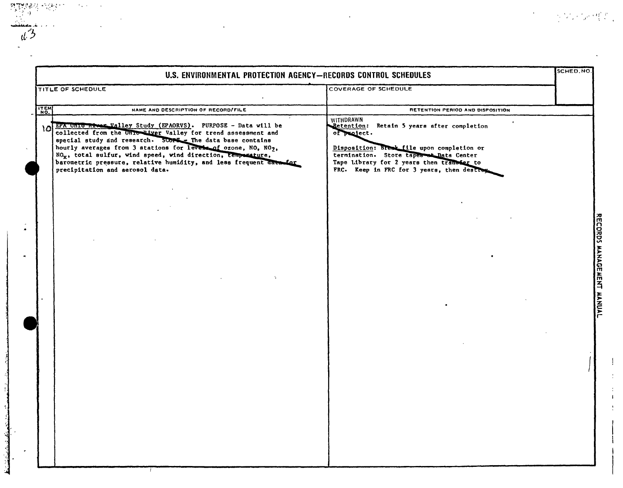|             | U.S. ENVIRONMENTAL PROTECTION AGENCY-RECORDS CONTROL SCHEDULES                                                                                                                                                                                                                                                                                                                                                                                        |                                                                                                                                                                                                                                                            | SCHED.NO           |
|-------------|-------------------------------------------------------------------------------------------------------------------------------------------------------------------------------------------------------------------------------------------------------------------------------------------------------------------------------------------------------------------------------------------------------------------------------------------------------|------------------------------------------------------------------------------------------------------------------------------------------------------------------------------------------------------------------------------------------------------------|--------------------|
|             | TITLE OF SCHEDULE                                                                                                                                                                                                                                                                                                                                                                                                                                     | <b>COVERAGE OF SCHEDULE</b>                                                                                                                                                                                                                                |                    |
| <b>ITEM</b> | NAME AND DESCRIPTION OF RECORD/FILE                                                                                                                                                                                                                                                                                                                                                                                                                   | RETENTION PERIOD AND DISPOSITION                                                                                                                                                                                                                           |                    |
|             | 10 EPA Unio River Walley Study (EPAORVS). PURPOSE - Data will be<br>collected from the Unio Piver Valley for trend assessment and<br>special study and research. SCOPE - The data base contains<br>hourly averages from 3 stations for levels of ozone, NO, NO2,<br>NO <sub>x</sub> , total sulfur, wind speed, wind direction, temporature,<br>barometric pressure, relative humidity, and less frequent date for<br>precipitation and aerosol data. | WITHDRAWN<br>Retention: Retain 5 years after completion<br>of project.<br>Disposition: Break file upon completion or<br>termination. Store tapes at Data Center<br>Tape Library for 2 years then transfer to<br>FRC. Keep in FRC for 3 years, then destroy |                    |
|             |                                                                                                                                                                                                                                                                                                                                                                                                                                                       |                                                                                                                                                                                                                                                            |                    |
|             |                                                                                                                                                                                                                                                                                                                                                                                                                                                       |                                                                                                                                                                                                                                                            | RECORDS MANAGEMENT |
|             |                                                                                                                                                                                                                                                                                                                                                                                                                                                       |                                                                                                                                                                                                                                                            | <b>HANNAL</b>      |
|             |                                                                                                                                                                                                                                                                                                                                                                                                                                                       |                                                                                                                                                                                                                                                            |                    |
|             |                                                                                                                                                                                                                                                                                                                                                                                                                                                       |                                                                                                                                                                                                                                                            |                    |
|             |                                                                                                                                                                                                                                                                                                                                                                                                                                                       |                                                                                                                                                                                                                                                            |                    |
|             |                                                                                                                                                                                                                                                                                                                                                                                                                                                       |                                                                                                                                                                                                                                                            |                    |
|             |                                                                                                                                                                                                                                                                                                                                                                                                                                                       |                                                                                                                                                                                                                                                            |                    |

 $\frac{1}{4}$ 

 $\sim 2.2$  km s  $^{-1}$  .

 $\label{eq:1} \mathcal{L}_{\mathcal{A}}=\sum_{i=1}^{n-1}\mathcal{L}_{\mathcal{A}}^{i}\mathcal{L}_{\mathcal{A}}^{i}\mathcal{L}_{\mathcal{A}}^{i}\mathcal{L}_{\mathcal{A}}^{i}\mathcal{L}_{\mathcal{A}}^{i}\mathcal{L}_{\mathcal{A}}^{i}\mathcal{L}_{\mathcal{A}}^{i}\mathcal{L}_{\mathcal{A}}^{i}$ 

 $\epsilon$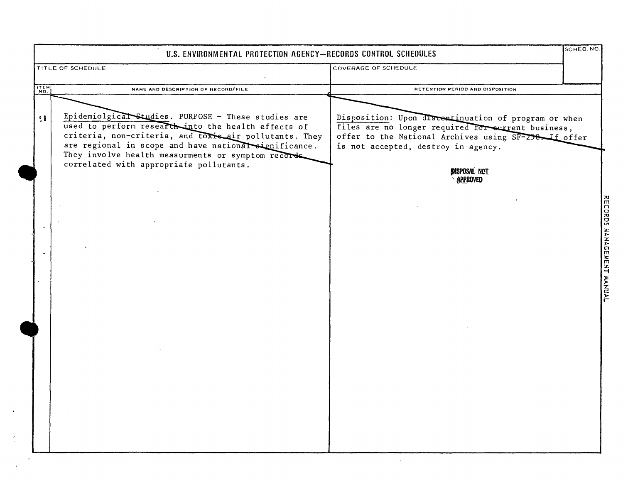|              | U.S. ENVIRONMENTAL PROTECTION AGENCY-RECORDS CONTROL SCHEDULES                                                                                                                                                                                                                      |                                                                                                                                                                                                            | SCHED. NO.                |
|--------------|-------------------------------------------------------------------------------------------------------------------------------------------------------------------------------------------------------------------------------------------------------------------------------------|------------------------------------------------------------------------------------------------------------------------------------------------------------------------------------------------------------|---------------------------|
|              | TITLE OF SCHEDULE                                                                                                                                                                                                                                                                   | COVERAGE OF SCHEDULE                                                                                                                                                                                       |                           |
| ITEM         | NAME AND DESCRIPTION OF RECORD/FILE                                                                                                                                                                                                                                                 | RETENTION PERIOD AND DISPOSITION                                                                                                                                                                           |                           |
| $\mathbf{H}$ | Epidemiolgical Studies. PURPOSE - These studies are<br>used to perform research into the health effects of<br>criteria, non-criteria, and toxic air pollutants. They<br>are regional in scope and have national significance.<br>They involve health measurments or symptom records | Disposition: Upon discontinuation of program or when<br>files are no longer required for surrent business,<br>offer to the National Archives using SF-258. If offer<br>is not accepted, destroy in agency. |                           |
|              | correlated with appropriate pollutants.                                                                                                                                                                                                                                             | <b>DISPOSAL NOT</b><br><b>APPROVED</b>                                                                                                                                                                     |                           |
|              |                                                                                                                                                                                                                                                                                     |                                                                                                                                                                                                            |                           |
|              |                                                                                                                                                                                                                                                                                     |                                                                                                                                                                                                            | RECORDS MANAGEMENT MANUAL |
|              |                                                                                                                                                                                                                                                                                     |                                                                                                                                                                                                            |                           |
|              |                                                                                                                                                                                                                                                                                     |                                                                                                                                                                                                            |                           |
|              |                                                                                                                                                                                                                                                                                     |                                                                                                                                                                                                            |                           |
|              |                                                                                                                                                                                                                                                                                     |                                                                                                                                                                                                            |                           |
|              |                                                                                                                                                                                                                                                                                     |                                                                                                                                                                                                            |                           |
|              |                                                                                                                                                                                                                                                                                     |                                                                                                                                                                                                            |                           |
|              |                                                                                                                                                                                                                                                                                     |                                                                                                                                                                                                            |                           |
|              |                                                                                                                                                                                                                                                                                     |                                                                                                                                                                                                            |                           |

 $\langle \cdot \rangle$ 

 $\frac{1}{2}$ 

 $\mathbf{u}$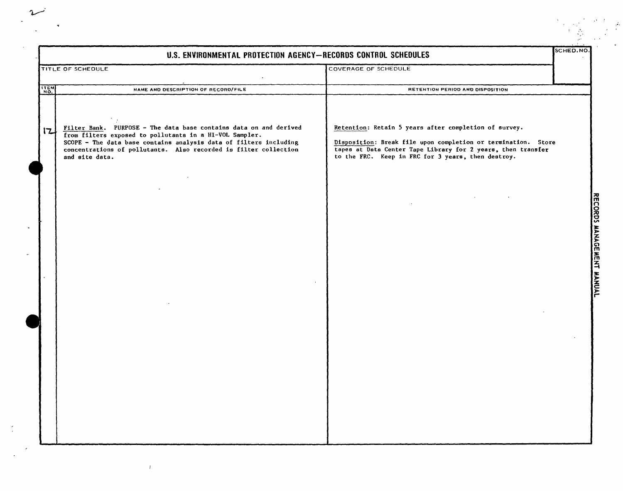|      | U.S. ENVIRONMENTAL PROTECTION AGENCY-RECORDS CONTROL SCHEDULES                                                                                                                                                                                                                          |                                                                                                                                                                                                                                              |
|------|-----------------------------------------------------------------------------------------------------------------------------------------------------------------------------------------------------------------------------------------------------------------------------------------|----------------------------------------------------------------------------------------------------------------------------------------------------------------------------------------------------------------------------------------------|
|      | TITLE OF SCHEDULE                                                                                                                                                                                                                                                                       | COVERAGE OF SCHEDULE                                                                                                                                                                                                                         |
| ITEM | NAME AND DESCRIPTION OF RECORD/FILE                                                                                                                                                                                                                                                     | RETENTION PERIOD AND DISPOSITION                                                                                                                                                                                                             |
| 12   | Filter Bank. PURPOSE - The data base contains data on and derived<br>from filters exposed to pollutants in a HI-VOL Sampler.<br>SCOPE - The data base contains analysis data of filters including<br>concentrations of pollutants. Also recorded is filter collection<br>and site data. | Retention: Retain 5 years after completion of survey.<br>Disposition: Break file upon completion or termination. Store<br>tapes at Data Center Tape Library for 2 years, then transfer<br>to the FRC. Keep in FRC for 3 years, then destroy. |
|      |                                                                                                                                                                                                                                                                                         |                                                                                                                                                                                                                                              |
|      |                                                                                                                                                                                                                                                                                         |                                                                                                                                                                                                                                              |
|      |                                                                                                                                                                                                                                                                                         |                                                                                                                                                                                                                                              |
|      |                                                                                                                                                                                                                                                                                         |                                                                                                                                                                                                                                              |
|      |                                                                                                                                                                                                                                                                                         |                                                                                                                                                                                                                                              |
|      |                                                                                                                                                                                                                                                                                         |                                                                                                                                                                                                                                              |
|      |                                                                                                                                                                                                                                                                                         |                                                                                                                                                                                                                                              |

 $\begin{array}{c} \sim \\ \sim \\ \sim \end{array}$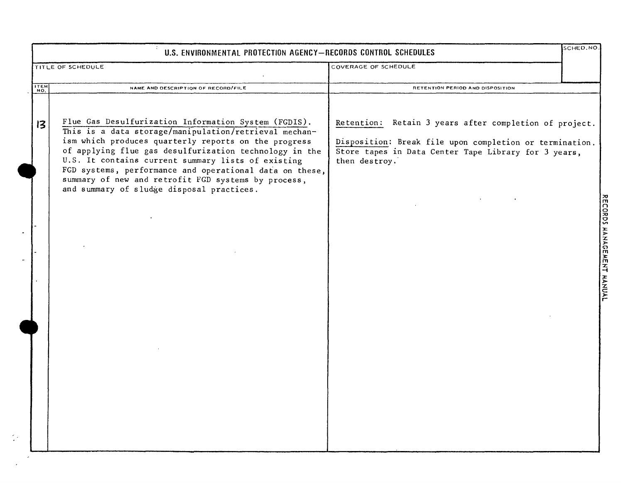|      | U.S. ENVIRONMENTAL PROTECTION AGENCY-RECORDS CONTROL SCHEDULES                                                                                                                                                                                                                                                                                                                                                                                       |                                                                                                                                                                                            |  |
|------|------------------------------------------------------------------------------------------------------------------------------------------------------------------------------------------------------------------------------------------------------------------------------------------------------------------------------------------------------------------------------------------------------------------------------------------------------|--------------------------------------------------------------------------------------------------------------------------------------------------------------------------------------------|--|
|      | TITLE OF SCHEDULE                                                                                                                                                                                                                                                                                                                                                                                                                                    | COVERAGE OF SCHEDULE                                                                                                                                                                       |  |
| ITEM | NAME AND DESCRIPTION OF RECORD/FILE                                                                                                                                                                                                                                                                                                                                                                                                                  | RETENTION PERIOD AND DISPOSITION                                                                                                                                                           |  |
| 13   | Flue Gas Desulfurization Information System (FGDIS).<br>This is a data storage/manipulation/retrieval mechan-<br>ism which produces quarterly reports on the progress<br>of applying flue gas desulfurization technology in the<br>U.S. It contains current summary lists of existing<br>FGD systems, performance and operational data on these,<br>summary of new and retrofit FGD systems by process,<br>and summary of sludge disposal practices. | Retention: Retain 3 years after completion of project.<br>Disposition: Break file upon completion or termination.<br>Store tapes in Data Center Tape Library for 3 years,<br>then destroy. |  |

 $\frac{1}{2} \mathcal{L}$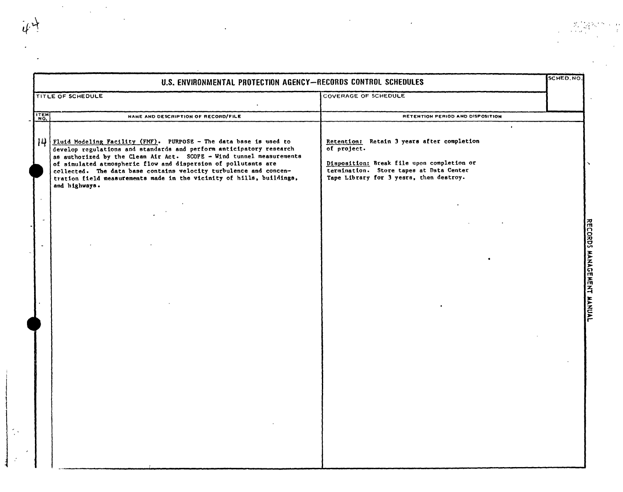$\sim$   $\sim$ 

|                       | U.S. ENVIRONMENTAL PROTECTION AGENCY-RECORDS CONTROL SCHEDULES                                                                                                                                                                                                                                                                                                                                                                                   |                                                                                                                                                                                                            | SCHED.NO                  |
|-----------------------|--------------------------------------------------------------------------------------------------------------------------------------------------------------------------------------------------------------------------------------------------------------------------------------------------------------------------------------------------------------------------------------------------------------------------------------------------|------------------------------------------------------------------------------------------------------------------------------------------------------------------------------------------------------------|---------------------------|
|                       | TITLE OF SCHEDULE                                                                                                                                                                                                                                                                                                                                                                                                                                | COVERAGE OF SCHEDULE                                                                                                                                                                                       |                           |
| ITEM                  | NAME AND DESCRIPTION OF RECORD/FILE                                                                                                                                                                                                                                                                                                                                                                                                              | RETENTION PERIOD AND DISPOSITION                                                                                                                                                                           |                           |
| 14                    | Fluid Modeling Facility (FMF). PURPOSE - The data base is used to<br>develop regulations and standards and perform anticipatory research<br>as authorized by the Clean Air Act. SCOPE - Wind tunnel measurements<br>of simulated atmospheric flow and dispersion of pollutants are<br>collected. The data base contains velocity turbulence and concen-<br>tration field measurements made in the vicinity of hills, buildings,<br>and highways. | $\bullet$<br>Retention: Retain 3 years after completion<br>of project.<br>Disposition: Break file upon completion or<br>termination. Store tapes at Data Center<br>Tape Library for 3 years, then destroy. |                           |
| $\tilde{\phantom{a}}$ |                                                                                                                                                                                                                                                                                                                                                                                                                                                  |                                                                                                                                                                                                            | RECORDS MANAGEMENT MANUAL |
|                       |                                                                                                                                                                                                                                                                                                                                                                                                                                                  |                                                                                                                                                                                                            |                           |

 $\epsilon^{\pm}$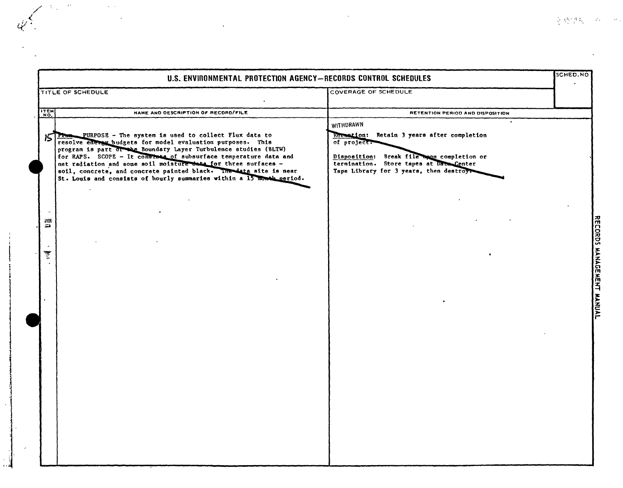|             | U.S. ENVIRONMENTAL PROTECTION AGENCY-RECORDS CONTROL SCHEDULES                                                                                                                                                                                                                                                                                                                                                                                                                 |                                                                                                                                                                                                             | SCHED.NO |
|-------------|--------------------------------------------------------------------------------------------------------------------------------------------------------------------------------------------------------------------------------------------------------------------------------------------------------------------------------------------------------------------------------------------------------------------------------------------------------------------------------|-------------------------------------------------------------------------------------------------------------------------------------------------------------------------------------------------------------|----------|
|             | <b>TITLE OF SCHEDULE</b>                                                                                                                                                                                                                                                                                                                                                                                                                                                       | COVERAGE OF SCHEDULE                                                                                                                                                                                        |          |
| <b>ITEM</b> | NAME AND DESCRIPTION OF RECORD/FILE                                                                                                                                                                                                                                                                                                                                                                                                                                            | RETENTION PERIOD AND DISPOSITION                                                                                                                                                                            |          |
| 15          | FIRM PURPOSE - The system is used to collect Flux data to<br>resolve energy budgets for model evaluation purposes. This<br>program is part of the Boundary Layer Turbulence studies (BLTW)<br>for RAPS. SCOPE - It considers of subsurface temperature data and<br>net radiation and some soil moisture data for three surfaces -<br>soil, concrete, and concrete painted black. The data site is near<br>St. Louis and consists of hourly summaries within a 15 month period. | WITHDRAWN<br>Recontion: Retain 3 years after completion<br>of project?<br>Disposition: Break file apon completion or<br>termination. Store tapes at Date Center<br>Tape Library for 3 years, then destroys- |          |
| 332<br>森    |                                                                                                                                                                                                                                                                                                                                                                                                                                                                                |                                                                                                                                                                                                             |          |
|             |                                                                                                                                                                                                                                                                                                                                                                                                                                                                                |                                                                                                                                                                                                             |          |
|             |                                                                                                                                                                                                                                                                                                                                                                                                                                                                                |                                                                                                                                                                                                             |          |
|             |                                                                                                                                                                                                                                                                                                                                                                                                                                                                                |                                                                                                                                                                                                             |          |

 $\mathcal{A}_{\text{max}}$  and

 $\sim 10^{-1}$  e

 $\sim$   $\sim$ 

 $\label{eq:3.1} \begin{array}{l} \displaystyle \frac{2}{\lambda^2} \left( \int_{\mathbb{R}} \frac{d\mu}{2} \frac{d\mu}{2} \tilde{F}_{\mu\nu} \right) = - \lambda^2 \, \nu \, , \end{array}$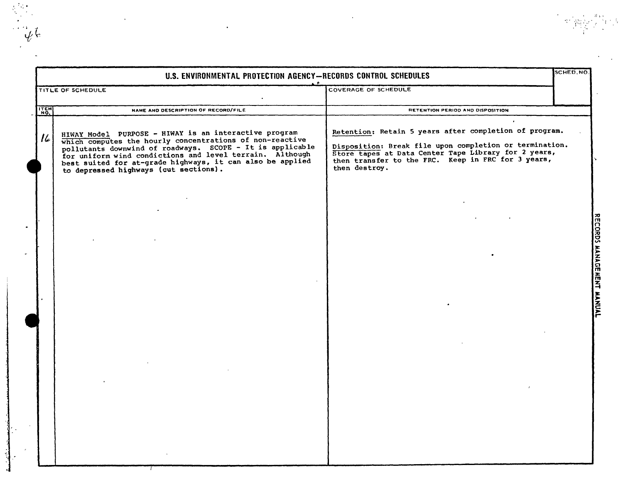|             | U.S. ENVIRONMENTAL PROTECTION AGENCY-RECORDS CONTROL SCHEDULES                                                                                                                                                                                                                                                                                   |                                                                                                                                                                                                                                                  | SCHED, NO. |
|-------------|--------------------------------------------------------------------------------------------------------------------------------------------------------------------------------------------------------------------------------------------------------------------------------------------------------------------------------------------------|--------------------------------------------------------------------------------------------------------------------------------------------------------------------------------------------------------------------------------------------------|------------|
|             | TITLE OF SCHEDULE                                                                                                                                                                                                                                                                                                                                | COVERAGE OF SCHEDULE                                                                                                                                                                                                                             |            |
| <b>ITEM</b> | NAME AND DESCRIPTION OF RECORD/FILE                                                                                                                                                                                                                                                                                                              | RETENTION PERIOD AND DISPOSITION                                                                                                                                                                                                                 |            |
| $ \iota $   | HIWAY Model PURPOSE - HIWAY is an interactive program<br>which computes the hourly concentrations of non-reactive<br>pollutants downwind of roadways. SCOPE - It is applicable<br>for uniform wind condictions and level terrain. Although<br>best suited for at-grade highways, it can also be applied<br>to depressed highways (cut sections). | Retention: Retain 5 years after completion of program.<br>Disposition: Break file upon completion or termination.<br>Store tapes at Data Center Tape Library for 2 years,<br>then transfer to the FRC. Keep in FRC for 3 years,<br>then destroy. |            |
|             |                                                                                                                                                                                                                                                                                                                                                  |                                                                                                                                                                                                                                                  |            |
|             |                                                                                                                                                                                                                                                                                                                                                  |                                                                                                                                                                                                                                                  |            |
|             |                                                                                                                                                                                                                                                                                                                                                  |                                                                                                                                                                                                                                                  |            |
|             |                                                                                                                                                                                                                                                                                                                                                  |                                                                                                                                                                                                                                                  |            |
|             |                                                                                                                                                                                                                                                                                                                                                  |                                                                                                                                                                                                                                                  |            |
|             |                                                                                                                                                                                                                                                                                                                                                  |                                                                                                                                                                                                                                                  |            |

 $\mathbf{l}'$  .

 $\frac{1}{2} \sum_{i=1}^{2} \frac{1}{2}$ 

 $\begin{aligned} \mathcal{L}_{\mathcal{L}}(\mathcal{L}_{\mathcal{L}}) = \mathcal{L}_{\mathcal{L}}(\mathcal{L}_{\mathcal{L}}) \end{aligned}$ 

",!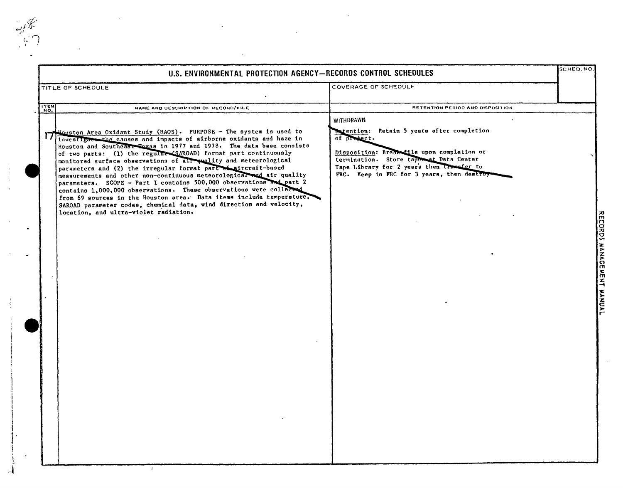| U.S. ENVIRONMENTAL PROTECTION AGENCY-RECORDS CONTROL SCHEDULES                                                                                                                                                                                                                                                                                                                                                                                                                                                                                                                                                                                                                                                                                                                                                                          |                                                                                                                                                                                                                                                                                    | SCHED.NO |
|-----------------------------------------------------------------------------------------------------------------------------------------------------------------------------------------------------------------------------------------------------------------------------------------------------------------------------------------------------------------------------------------------------------------------------------------------------------------------------------------------------------------------------------------------------------------------------------------------------------------------------------------------------------------------------------------------------------------------------------------------------------------------------------------------------------------------------------------|------------------------------------------------------------------------------------------------------------------------------------------------------------------------------------------------------------------------------------------------------------------------------------|----------|
| TITLE OF SCHEDULE                                                                                                                                                                                                                                                                                                                                                                                                                                                                                                                                                                                                                                                                                                                                                                                                                       | COVERAGE OF SCHEDULE                                                                                                                                                                                                                                                               |          |
| <b>TTEM</b><br>NAME AND DESCRIPTION OF RECORD/FILE                                                                                                                                                                                                                                                                                                                                                                                                                                                                                                                                                                                                                                                                                                                                                                                      | RETENTION PERIOD AND DISPOSITION                                                                                                                                                                                                                                                   |          |
| Mouston Area Oxidant Study (HAOS). PURPOSE - The system is used to<br>investigate the causes and impacts of airborne oxidants and haze in<br>Houston and Southeast Texas in 1977 and 1978. The data base consists<br>of two parts: (1) the regular (SAROAD) format part continuously<br>monitored surface observations of all quality and meteorological<br>parameters and (2) the irregular format part of aircraft-based<br>measurements and other non-continuous meteorological and air quality<br>parameters. SCOPE - Part I contains 500,000 observations and part 2<br>contains 1,000,000 observations. These observations were collected<br>from 69 sources in the Houston area. Data items include temperature,<br>SAROAD parameter codes, chemical data, wind direction and velocity,<br>location, and ultra-violet radiation. | WITHDRAWN<br>$\bullet$<br>Retain 5 years after completion<br><b>Natention:</b><br>of product.<br>Disposition: Break file upon completion or<br>termination. Store tapes at Data Center<br>Tape Library for 2 years then transfer to<br>FRC. Keep in FRC for 3 years, then destroy- |          |

 $\vec{A}$ 

 $\ddot{\phantom{a}}$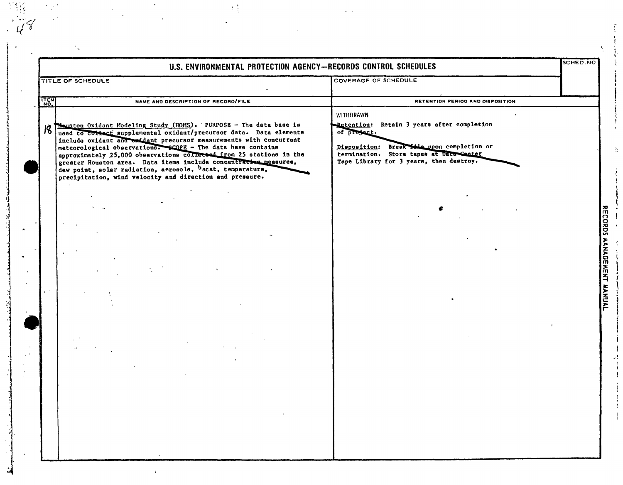|             | U.S. ENVIRONMENTAL PROTECTION AGENCY-RECORDS CONTROL SCHEDULES                                                                                                                                                                                                                                                                                                                                                                                                                                                                                   |                                                                                                                                                                                                            | SCHED.NO                 |
|-------------|--------------------------------------------------------------------------------------------------------------------------------------------------------------------------------------------------------------------------------------------------------------------------------------------------------------------------------------------------------------------------------------------------------------------------------------------------------------------------------------------------------------------------------------------------|------------------------------------------------------------------------------------------------------------------------------------------------------------------------------------------------------------|--------------------------|
|             | TITLE OF SCHEDULE                                                                                                                                                                                                                                                                                                                                                                                                                                                                                                                                | <b>COVERAGE OF SCHEDULE</b>                                                                                                                                                                                |                          |
| <b>ITEM</b> | NAME AND DESCRIPTION OF RECORD/FILE                                                                                                                                                                                                                                                                                                                                                                                                                                                                                                              | RETENTION PERIOO AND DISPOSITION                                                                                                                                                                           |                          |
| 18          | Houston Oxidant Modeling Study (HOMS). PURPOSE - The data base is<br>used to cottact supplemental oxidant/precursor data. Data elements<br>include oxident and oxident precursor measurements with concurrent<br>meteorological observations. SCOPE - The data base contains<br>approximately 25,000 observations collected from 25 stations in the<br>greater Houston area. Data items include concentractos measures,<br>dew point, solar radiation, aerosols, bscat, temperature,<br>precipitation, wind velocity and direction and pressure. | WITHDRAWN<br>Petention: Retain 3 years after completion<br>of project.<br>Disposition: Break this upon completion or<br>termination. Store tapes at Data Canter<br>Tape Library for 3 years, then destroy. |                          |
| i n         |                                                                                                                                                                                                                                                                                                                                                                                                                                                                                                                                                  |                                                                                                                                                                                                            | RECORDS MANGEMENT MANUAL |
|             |                                                                                                                                                                                                                                                                                                                                                                                                                                                                                                                                                  |                                                                                                                                                                                                            |                          |

 $\frac{1}{3}$  $\ddot{\phantom{a}}$ 

 $\mathbf{f}$ 

 $\begin{array}{c} \mathcal{F}_{\mathcal{A}}(\mathcal{F}) \\ \mathcal{F}_{\mathcal{A}}(\mathcal{F}) \end{array}$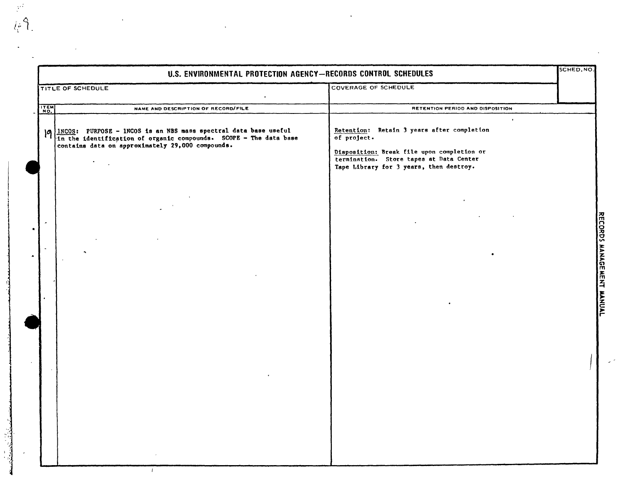|      | U.S. ENVIRONMENTAL PROTECTION AGENCY-RECORDS CONTROL SCHEDULES                                                                                                                                               |                                                                                                                                                                                                            | SCHED.NO.                 |
|------|--------------------------------------------------------------------------------------------------------------------------------------------------------------------------------------------------------------|------------------------------------------------------------------------------------------------------------------------------------------------------------------------------------------------------------|---------------------------|
|      | TITLE OF SCHEDULE                                                                                                                                                                                            | COVERAGE OF SCHEDULE                                                                                                                                                                                       |                           |
| ITEM | NAME AND DESCRIPTION OF RECORD/FILE                                                                                                                                                                          | RETENTION PERIOD AND DISPOSITION                                                                                                                                                                           |                           |
|      | $ O $ $\frac{1NCOS}{10}$ : PURPOSE - INCOS is an NBS mass spectral data base useful<br>In the identification of organic compounds. SCOPE - The data base<br>contains data on approximately 29,000 compounds. | $\bullet$<br>Retention: Retain 3 years after completion<br>of project.<br>Disposition: Break file upon completion or<br>termination. Store tapes at Data Center<br>Tape Library for 3 years, then destroy. | RECORDS MANAGEMENT MANUAL |
|      |                                                                                                                                                                                                              |                                                                                                                                                                                                            |                           |

 $\ddot{\phantom{1}}$ 

 $\frac{r^2}{4r^2}$ 

 $\mathcal{A}$ 

دە ئەرەبىيەت كەنتىلەرگە ئەرەبىيەت ئەرەبىيەت ئالىرى ئالىرى ئالىرى ئالىرى ئالىرى ئالىرى ئالىرى ئالىرى ئالىرى ئال<br>ئالىرى ئالىرى ئالىرى ئالىرى ئالىرى ئالىرى ئالىرى ئالىرى ئالىرى ئالىرى ئالىرى ئالىرى ئالىرى ئالىرى ئالىرى ئالىر

 $\mathbb{Z}$ 

 $\hat{\boldsymbol{\epsilon}}$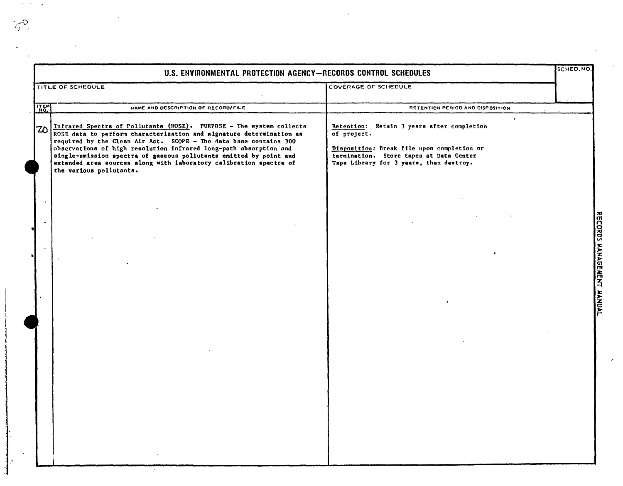|      | U.S. ENVIRONMENTAL PROTECTION AGENCY-RECORDS CONTROL SCHEDULES                                                                                                                                                                                                                                                                                                                                                                                                |                                                                                                                                                                                                            | SCHED. NO                           |
|------|---------------------------------------------------------------------------------------------------------------------------------------------------------------------------------------------------------------------------------------------------------------------------------------------------------------------------------------------------------------------------------------------------------------------------------------------------------------|------------------------------------------------------------------------------------------------------------------------------------------------------------------------------------------------------------|-------------------------------------|
|      | TITLE OF SCHEDULE                                                                                                                                                                                                                                                                                                                                                                                                                                             | COVERAGE OF SCHEDULE                                                                                                                                                                                       |                                     |
| ITEM | NAME AND DESCRIPTION OF RECORD/FILE                                                                                                                                                                                                                                                                                                                                                                                                                           | RETENTION PERIOD AND DISPOSITION                                                                                                                                                                           |                                     |
| 70   | Infrared Spectra of Pollutants (ROSE). PURPOSE - The system collects<br>ROSE data to perform characterization and signature determination as<br>required by the Clean Air Act. SCOPE - The data base contains 300<br>observations of high resolution infrared long-path absorption and<br>single-emission spectra of gaseous pollutants emitted by point and<br>extended area sources along with laboratory calibration spectra of<br>the various pollutants. | $\bullet$<br>Retention: Retain 3 years after completion<br>of project.<br>Disposition: Break file upon completion or<br>termination. Store tapes at Data Center<br>Tape Library for 3 years, then destroy. |                                     |
|      |                                                                                                                                                                                                                                                                                                                                                                                                                                                               |                                                                                                                                                                                                            | RECORDS MANAGEMENT<br><b>HANUAL</b> |
|      |                                                                                                                                                                                                                                                                                                                                                                                                                                                               |                                                                                                                                                                                                            |                                     |

 $\mathcal{L}^{\mathcal{L}}$ 

 $\mathcal{O}(\mathcal{O}_\mathcal{O})$  ,  $\mathcal{O}_\mathcal{O}$ 

 $\label{eq:2.1} \frac{1}{\sqrt{2\pi}}\int_{0}^{\pi} \frac{1}{\sqrt{2\pi}}\left(\frac{1}{\sqrt{2\pi}}\right)^{2\pi} \frac{dx}{\sqrt{2\pi}}\,dx$ 

 $\frac{1}{2} \sum_{i=1}^{N} \frac{1}{i} \sum_{j=1}^{N} \frac{1}{j} \sum_{j=1}^{N} \frac{1}{j} \sum_{j=1}^{N} \frac{1}{j} \sum_{j=1}^{N} \frac{1}{j} \sum_{j=1}^{N} \frac{1}{j} \sum_{j=1}^{N} \frac{1}{j} \sum_{j=1}^{N} \frac{1}{j} \sum_{j=1}^{N} \frac{1}{j} \sum_{j=1}^{N} \frac{1}{j} \sum_{j=1}^{N} \frac{1}{j} \sum_{j=1}^{N} \frac{1}{j} \sum_{j=1}^{N$ 

 $\mathcal{A}^{\mathcal{A}}$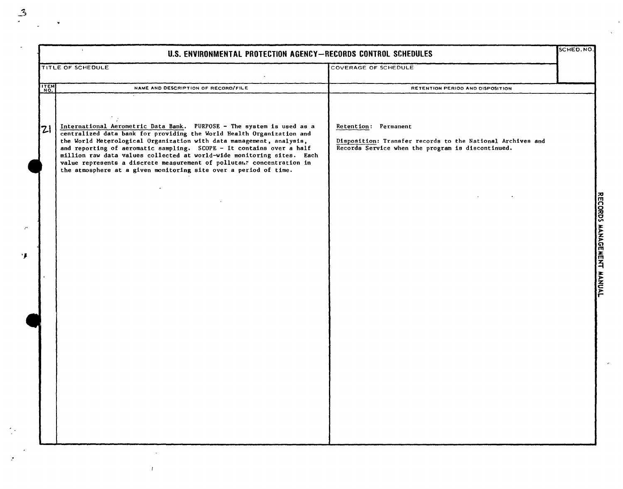| COVERAGE OF SCHEDULE<br>TITLE OF SCHEDULE<br>ITEM<br>NAME AND DESCRIPTION OF RECORD/FILE<br>RETENTION PERIOD AND DISPOSITION<br>International Aerometric Data Bank. PURPOSE - The system is used as a<br>Retention: Permanent<br> Z <br>centralized data bank for providing the World Health Organization and<br>the World Meterological Organization with data management, analysis,<br>Disposition: Transfer records to the National Archives and<br>and reporting of aeromatic sampling. SCOPE - It contains over a half<br>Records Service when the program is discontinued.<br>million raw data values collected at world-wide monitoring sites. Each<br>value represents a discrete measurement of pollutant concentration in<br>the atmosphere at a given monitoring site over a period of time. | $\Delta$<br>U.S. ENVIRONMENTAL PROTECTION AGENCY-RECORDS CONTROL SCHEDULES | SCHED. NO. |
|---------------------------------------------------------------------------------------------------------------------------------------------------------------------------------------------------------------------------------------------------------------------------------------------------------------------------------------------------------------------------------------------------------------------------------------------------------------------------------------------------------------------------------------------------------------------------------------------------------------------------------------------------------------------------------------------------------------------------------------------------------------------------------------------------------|----------------------------------------------------------------------------|------------|
|                                                                                                                                                                                                                                                                                                                                                                                                                                                                                                                                                                                                                                                                                                                                                                                                         |                                                                            |            |
|                                                                                                                                                                                                                                                                                                                                                                                                                                                                                                                                                                                                                                                                                                                                                                                                         |                                                                            |            |
|                                                                                                                                                                                                                                                                                                                                                                                                                                                                                                                                                                                                                                                                                                                                                                                                         |                                                                            |            |
|                                                                                                                                                                                                                                                                                                                                                                                                                                                                                                                                                                                                                                                                                                                                                                                                         |                                                                            |            |
|                                                                                                                                                                                                                                                                                                                                                                                                                                                                                                                                                                                                                                                                                                                                                                                                         |                                                                            |            |

"

 $\bar{T}$ 

<u>ទ</u> ~ z ~ Cl m ~ ~ <u>ጅ</u> )<br>International<br>International

 $\mathcal{L}_{\mathcal{A}}$ 

 $\ddot{\phantom{0}}$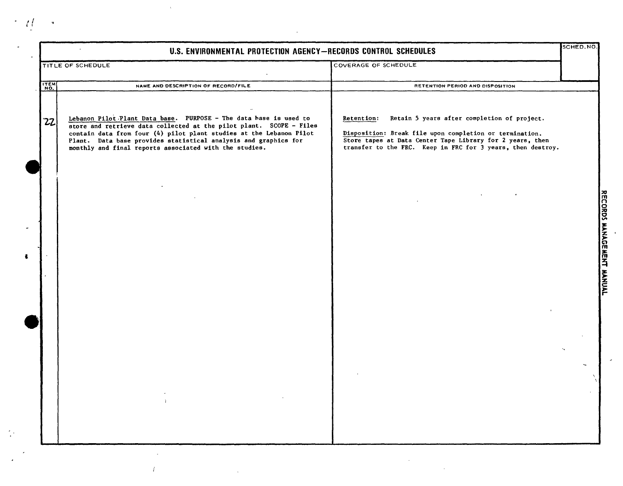|      | U.S. ENVIRONMENTAL PROTECTION AGENCY-RECORDS CONTROL SCHEDULES                                                                                                                                                                                                                                                                               |                                                                                                                                                                                                                                                  | SCHED.NO |
|------|----------------------------------------------------------------------------------------------------------------------------------------------------------------------------------------------------------------------------------------------------------------------------------------------------------------------------------------------|--------------------------------------------------------------------------------------------------------------------------------------------------------------------------------------------------------------------------------------------------|----------|
|      | TITLE OF SCHEDULE                                                                                                                                                                                                                                                                                                                            | COVERAGE OF SCHEDULE                                                                                                                                                                                                                             |          |
| ITEM | NAME AND DESCRIPTION OF RECORD/FILE                                                                                                                                                                                                                                                                                                          | RETENTION PERIOD AND DISPOSITION                                                                                                                                                                                                                 |          |
| 22   | Lebanon Pilot Plant Data base. PURPOSE - The data hase is used to<br>store and retrieve data collected at the pilot plant. SCOPE - Files<br>contain data from four (4) pilot plant studies at the Lebanon Pilot<br>Plant. Data base provides statistical analysis and graphics for<br>monthly and final reports associated with the studies. | Retain 5 years after completion of project.<br>Retention:<br>Disposition: Break file upon completion or termination.<br>Store tapes at Data Center Tape Library for 2 years, then<br>transfer to the FRC. Keep in FRC for 3 years, then destroy. |          |
|      |                                                                                                                                                                                                                                                                                                                                              |                                                                                                                                                                                                                                                  |          |
|      |                                                                                                                                                                                                                                                                                                                                              |                                                                                                                                                                                                                                                  |          |
|      |                                                                                                                                                                                                                                                                                                                                              |                                                                                                                                                                                                                                                  |          |
|      |                                                                                                                                                                                                                                                                                                                                              |                                                                                                                                                                                                                                                  |          |
|      |                                                                                                                                                                                                                                                                                                                                              |                                                                                                                                                                                                                                                  |          |
|      |                                                                                                                                                                                                                                                                                                                                              |                                                                                                                                                                                                                                                  |          |

 $\mathcal{L}_{\mathcal{A}}$ 

 $\label{eq:2.1} \mathcal{L} = \mathcal{L} \left( \mathcal{L} \right) \left( \mathcal{L} \right)$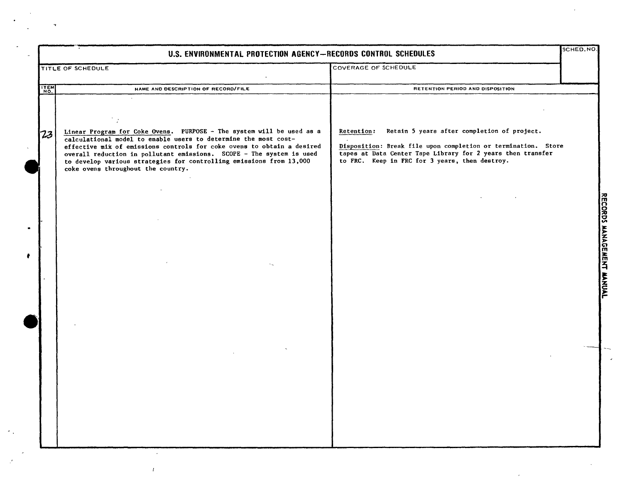| U.S. ENVIRONMENTAL PROTECTION AGENCY-RECORDS CONTROL SCHEDULES                                                                                                                                                                                                                                                                 |                                                                                                               | SCHED.NO.                                                                                                                  |
|--------------------------------------------------------------------------------------------------------------------------------------------------------------------------------------------------------------------------------------------------------------------------------------------------------------------------------|---------------------------------------------------------------------------------------------------------------|----------------------------------------------------------------------------------------------------------------------------|
|                                                                                                                                                                                                                                                                                                                                | COVERAGE OF SCHEDULE                                                                                          |                                                                                                                            |
| NAME AND DESCRIPTION OF RECORD/FILE                                                                                                                                                                                                                                                                                            | RETENTION PERIOD AND DISPOSITION                                                                              |                                                                                                                            |
|                                                                                                                                                                                                                                                                                                                                |                                                                                                               |                                                                                                                            |
| calculational model to enable users to determine the most cost-<br>effective mix of emissions controls for coke ovens to obtain a desired<br>overall reduction in pollutant emissions. SCOPE - The system is used<br>to develop various strategies for controlling emissions from 13,000<br>coke ovens throughout the country. | tapes at Data Center Tape Library for 2 years then transfer<br>to FRC. Keep in FRC for 3 years, then destroy. |                                                                                                                            |
|                                                                                                                                                                                                                                                                                                                                |                                                                                                               |                                                                                                                            |
|                                                                                                                                                                                                                                                                                                                                |                                                                                                               | RECORDS MANAGEMENT                                                                                                         |
|                                                                                                                                                                                                                                                                                                                                |                                                                                                               | <b>HANUAL</b>                                                                                                              |
|                                                                                                                                                                                                                                                                                                                                |                                                                                                               |                                                                                                                            |
|                                                                                                                                                                                                                                                                                                                                |                                                                                                               |                                                                                                                            |
|                                                                                                                                                                                                                                                                                                                                |                                                                                                               |                                                                                                                            |
|                                                                                                                                                                                                                                                                                                                                |                                                                                                               |                                                                                                                            |
|                                                                                                                                                                                                                                                                                                                                | TITLE OF SCHEDULE<br>Linear Program for Coke Ovens. PURPOSE - The system will be used as a                    | Retain 5 years after completion of project.<br>Retention:<br>Disposition: Break file upon completion or termination. Store |

 $\bar{\mathcal{A}}$ 

k.

 $\bullet$ 

 $\mathcal{F}$ 

 $\bar{T}$ 

 $\begin{aligned} \mathbf{y} & = \frac{1}{2} \mathbf{y} \mathbf{y} \\ \mathbf{y} & = \frac{1}{2} \mathbf{y} \mathbf{y} \\ \mathbf{y} & = \frac{1}{2} \mathbf{y} \mathbf{y} \mathbf{y} \\ \mathbf{y} & = \frac{1}{2} \mathbf{y} \mathbf{y} \mathbf{y} \\ \mathbf{y} & = \frac{1}{2} \mathbf{y} \mathbf{y} \mathbf{y} \\ \mathbf{y} & = \frac{1}{2} \mathbf{y} \mathbf{y} \mathbf{y} \\ \mathbf{y} & = \frac{1}{2} \mathbf{y} \math$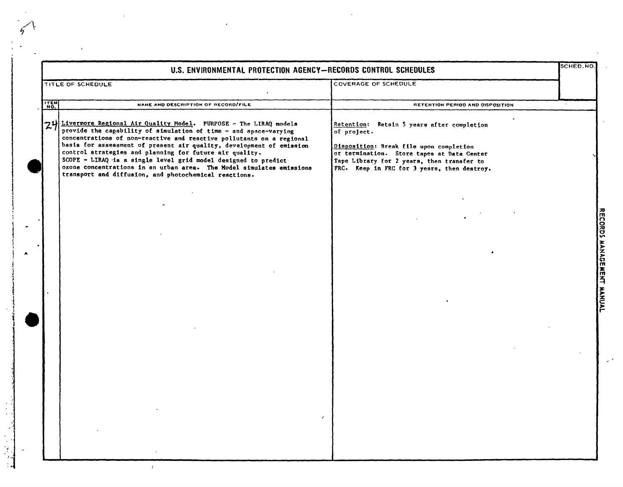| COVERAGE OF SCHEDULE<br>TITLE OF SCHEDULE<br>$rac{1}{2}$<br>NAME AND DESCRIPTION OF RECORD/FILE<br>RETENTION PERIOD AND DISPOSITION<br>24 Livermore Regional Air Quality Model. PURPOSE - The LIRAQ models<br>Retention: Retain 5 years after completion<br>provide the capability of simulation of time - and space-varying<br>of project.<br>concentrations of non-reactive and reactive pollutants on a regional<br>basis for assessment of present air quality, development of emission<br>Disposition: Break file upon completion<br>control strategies and planning for future air quality.<br>or termination. Store tapes at Data Center<br>SCOPE - LIRAQ is a single level grid model designed to predict<br>Tape Library for 2 years, then transfer to<br>ozone concentrations in an urban area. The Model simulates emissions<br>FRC. Keep in FRC for 3 years, then destroy.<br>transport and diffusion, and photochemical reactions. |  | U.S. ENVIRONMENTAL PROTECTION AGENCY-RECORDS CONTROL SCHEDULES |  | <b>SCHED.NO</b> |
|-------------------------------------------------------------------------------------------------------------------------------------------------------------------------------------------------------------------------------------------------------------------------------------------------------------------------------------------------------------------------------------------------------------------------------------------------------------------------------------------------------------------------------------------------------------------------------------------------------------------------------------------------------------------------------------------------------------------------------------------------------------------------------------------------------------------------------------------------------------------------------------------------------------------------------------------------|--|----------------------------------------------------------------|--|-----------------|
|                                                                                                                                                                                                                                                                                                                                                                                                                                                                                                                                                                                                                                                                                                                                                                                                                                                                                                                                                 |  |                                                                |  |                 |
|                                                                                                                                                                                                                                                                                                                                                                                                                                                                                                                                                                                                                                                                                                                                                                                                                                                                                                                                                 |  |                                                                |  |                 |
|                                                                                                                                                                                                                                                                                                                                                                                                                                                                                                                                                                                                                                                                                                                                                                                                                                                                                                                                                 |  |                                                                |  |                 |
|                                                                                                                                                                                                                                                                                                                                                                                                                                                                                                                                                                                                                                                                                                                                                                                                                                                                                                                                                 |  |                                                                |  |                 |

y k

 $\label{eq:2} \frac{1}{\sqrt{2}}\left(\frac{1}{\sqrt{2}}\right)^2\frac{1}{\sqrt{2}}\left(\frac{1}{\sqrt{2}}\right)^2.$ 

 $\label{eq:2.1} \frac{1}{\sqrt{2}}\int_{\mathbb{R}^3}\frac{1}{\sqrt{2}}\left(\frac{1}{\sqrt{2}}\right)^2\frac{1}{\sqrt{2}}\left(\frac{1}{\sqrt{2}}\right)^2\frac{1}{\sqrt{2}}\left(\frac{1}{\sqrt{2}}\right)^2.$ 

j j ~I

*f* .! 1 نىدىكى قاناتىيى<br>ئا

 $\bar{z}$ 

 $\cdot \cdot$ 

 $\begin{pmatrix} 1 & 1 \\ 1 & 1 \end{pmatrix}$ 

 $\mathcal{L}_{\text{max}}$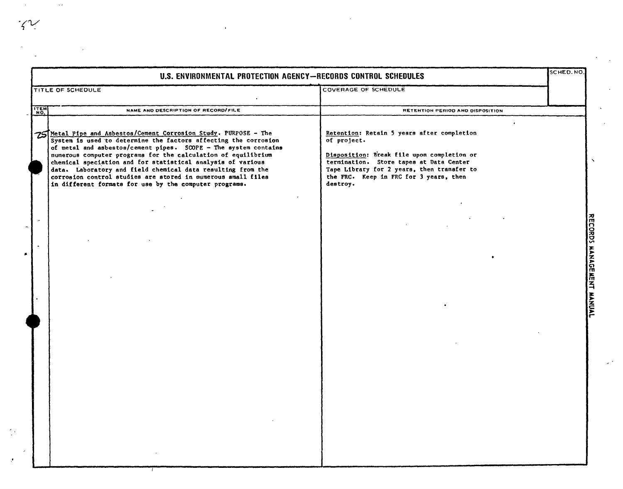$\sim$   $\sim$ 

|                                          | U.S. ENVIRONMENTAL PROTECTION AGENCY-RECORDS CONTROL SCHEDULES                                                                                                                                                                                                                                                                                                                                                                                                                                                                  |                                                                                                                                                                                                                                                        | SCHED.NO. |                                                                  |
|------------------------------------------|---------------------------------------------------------------------------------------------------------------------------------------------------------------------------------------------------------------------------------------------------------------------------------------------------------------------------------------------------------------------------------------------------------------------------------------------------------------------------------------------------------------------------------|--------------------------------------------------------------------------------------------------------------------------------------------------------------------------------------------------------------------------------------------------------|-----------|------------------------------------------------------------------|
|                                          | TITLE OF SCHEDULE                                                                                                                                                                                                                                                                                                                                                                                                                                                                                                               | <b>COVERAGE OF SCHEDULE</b>                                                                                                                                                                                                                            |           |                                                                  |
| ITEM                                     | NAME AND DESCRIPTION OF RECORD/FILE                                                                                                                                                                                                                                                                                                                                                                                                                                                                                             | RETENTION PERIOD AND DISPOSITION                                                                                                                                                                                                                       |           |                                                                  |
|                                          | 75 Metal Pipe and Asbestos/Cement Corrosion Study. PURPOSE - The<br>System is used to determine the factors affecting the corrosion<br>of metal and asbestos/cement pipes. SCOPE - The system contains<br>numerous computer programs for the calculation of equilibrium<br>chemical speciation and for statistical analysis of various<br>data. Laboratory and field chemical data resulting from the<br>corrosion control studies are stored in numerous small files<br>in different formats for use by the computer programs. | Retention: Retain 5 years after completion<br>of project.<br>Disposition: Break file upon completion or<br>termination. Store tapes at Data Center<br>Tape Library for 2 years, then transfer to<br>the FRC. Keep in FRC for 3 years, then<br>destroy. |           |                                                                  |
| $\mathbf{r}$<br>$\overline{\phantom{a}}$ |                                                                                                                                                                                                                                                                                                                                                                                                                                                                                                                                 |                                                                                                                                                                                                                                                        |           | ᅍ<br>m<br>n<br><b>ORDS</b><br><b>HANAGE</b><br>而<br>$\mathbf{z}$ |
|                                          |                                                                                                                                                                                                                                                                                                                                                                                                                                                                                                                                 |                                                                                                                                                                                                                                                        |           | まとてことに                                                           |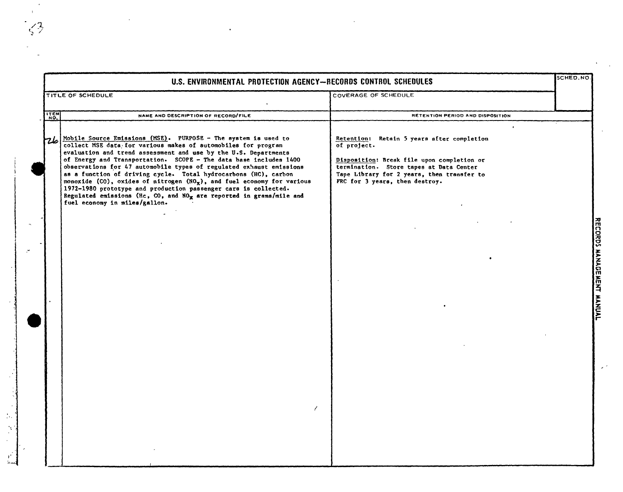| U.S. ENVIRONMENTAL PROTECTION AGENCY-RECORDS CONTROL SCHEDULES |                                                                                                                                                                                                                                                                                                                                                                                                                                                                                                                                                                                                                                                                             |                                                                                                                                                                                                                                                 | SCHED.NO. |  |  |
|----------------------------------------------------------------|-----------------------------------------------------------------------------------------------------------------------------------------------------------------------------------------------------------------------------------------------------------------------------------------------------------------------------------------------------------------------------------------------------------------------------------------------------------------------------------------------------------------------------------------------------------------------------------------------------------------------------------------------------------------------------|-------------------------------------------------------------------------------------------------------------------------------------------------------------------------------------------------------------------------------------------------|-----------|--|--|
|                                                                | COVERAGE OF SCHEDULE<br>TITLE OF SCHEDULE                                                                                                                                                                                                                                                                                                                                                                                                                                                                                                                                                                                                                                   |                                                                                                                                                                                                                                                 |           |  |  |
| <b>ITEM</b>                                                    | NAME AND DESCRIPTION OF RECORD/FILE                                                                                                                                                                                                                                                                                                                                                                                                                                                                                                                                                                                                                                         | RETENTION PERIOD AND DISPOSITION                                                                                                                                                                                                                |           |  |  |
| rb                                                             | Mobile Source Emissions (MSE). PURPOSE - The system is used to<br>collect MSE data for various makes of automobiles for program<br>evaluation and trend assessment and use by the U.S. Departments<br>of Energy and Transportation. SCOPE - The data base includes 1400<br>observations for 47 automobile types of regulated exhaust emissions<br>as a function of driving cycle. Total hydrocarbons (HC), carbon<br>monoxide (CO), oxides of nitrogen $(NOx)$ , and fuel economy for various<br>1972-1980 prototype and production passenger cars is collected.<br>Regulated emissions (Hc, CO, and $NO_x$ are reported in grams/mile and<br>fuel economy in miles/gallon. | $\bullet$<br>Retention: Retain 5 years after completion<br>of project.<br>Disposition: Break file upon completion or<br>termination. Store tapes at Data Center<br>Tape Library for 2 years, then transfer to<br>FRC for 3 years, then destroy. |           |  |  |
|                                                                |                                                                                                                                                                                                                                                                                                                                                                                                                                                                                                                                                                                                                                                                             |                                                                                                                                                                                                                                                 |           |  |  |
|                                                                |                                                                                                                                                                                                                                                                                                                                                                                                                                                                                                                                                                                                                                                                             |                                                                                                                                                                                                                                                 |           |  |  |
|                                                                |                                                                                                                                                                                                                                                                                                                                                                                                                                                                                                                                                                                                                                                                             |                                                                                                                                                                                                                                                 |           |  |  |
|                                                                | $\prime$                                                                                                                                                                                                                                                                                                                                                                                                                                                                                                                                                                                                                                                                    |                                                                                                                                                                                                                                                 |           |  |  |

**RECORDS** 

."

 $\measuredangle$ <sup>2</sup>

.~.

 $\frac{1}{2}$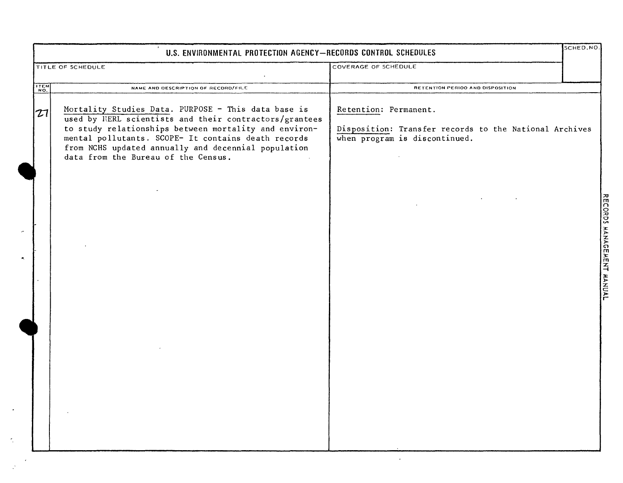|      | U.S. ENVIRONMENTAL PROTECTION AGENCY-RECORDS CONTROL SCHEDULES                                                                                                                                                                                                                                                              |                                                                                                                  | SCHED.NO. |  |
|------|-----------------------------------------------------------------------------------------------------------------------------------------------------------------------------------------------------------------------------------------------------------------------------------------------------------------------------|------------------------------------------------------------------------------------------------------------------|-----------|--|
|      | TITLE OF SCHEDULE                                                                                                                                                                                                                                                                                                           | COVERAGE OF SCHEDULE                                                                                             |           |  |
| ITEM | NAME AND DESCRIPTION OF RECORD/FILE                                                                                                                                                                                                                                                                                         | RETENTION PERIOO AND DISPOSITION                                                                                 |           |  |
| 27   | Mortality Studies Data. PURPOSE - This data base is<br>used by NERL scientists and their contractors/grantees<br>to study relationships between mortality and environ-<br>mental pollutants. SCOPE- It contains death records<br>from NCHS updated annually and decennial population<br>data from the Bureau of the Census. | Retention: Permanent.<br>Disposition: Transfer records to the National Archives<br>when program is discontinued. |           |  |
|      |                                                                                                                                                                                                                                                                                                                             |                                                                                                                  |           |  |
|      |                                                                                                                                                                                                                                                                                                                             |                                                                                                                  |           |  |
|      |                                                                                                                                                                                                                                                                                                                             |                                                                                                                  |           |  |
|      |                                                                                                                                                                                                                                                                                                                             |                                                                                                                  |           |  |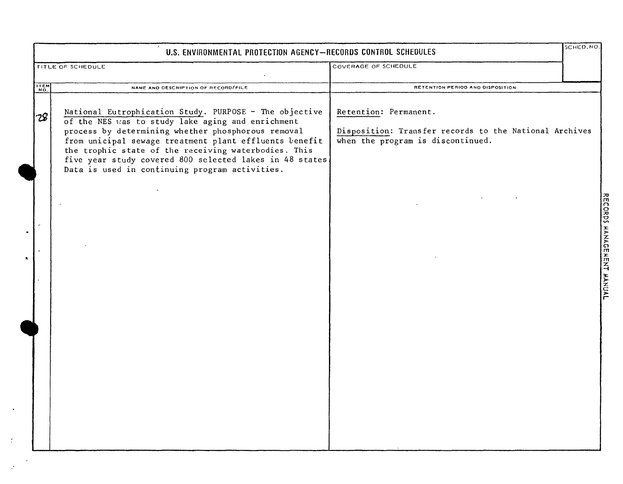| U.S. ENVIRONMENTAL PROTECTION AGENCY-RECORDS CONTROL SCHEDULES |                                                                                                                                                                                                                                                                                                                                                                                                  |                                                                                                                      | SCHED. NO.                                               |
|----------------------------------------------------------------|--------------------------------------------------------------------------------------------------------------------------------------------------------------------------------------------------------------------------------------------------------------------------------------------------------------------------------------------------------------------------------------------------|----------------------------------------------------------------------------------------------------------------------|----------------------------------------------------------|
|                                                                | TITLE OF SCHEDULE                                                                                                                                                                                                                                                                                                                                                                                | COVERAGE OF SCHEDULE                                                                                                 |                                                          |
| ITEM                                                           | NAME AND DESCRIPTION OF RECORD/FILE                                                                                                                                                                                                                                                                                                                                                              | RETENTION PERIOD AND DISPOSITION                                                                                     |                                                          |
| 28                                                             | National Eutrophication Study. PURPOSE - The objective<br>of the NES was to study lake aging and enrichment<br>process by determining whether phosphorous removal<br>from unicipal sewage treatment plant effluents benefit<br>the trophic state of the receiving waterbodies. This<br>five year study covered 800 selected lakes in 48 states<br>Data is used in continuing program activities. | Retention: Permanent.<br>Disposition: Transfer records to the National Archives<br>when the program is discontinued. |                                                          |
|                                                                |                                                                                                                                                                                                                                                                                                                                                                                                  |                                                                                                                      | <b>ORDS</b><br>Ŧ<br>ANAGE<br><b>HEN</b><br><b>JAUNAL</b> |
|                                                                |                                                                                                                                                                                                                                                                                                                                                                                                  |                                                                                                                      |                                                          |

 $\bullet$ 

 $\zeta$ 

 $\mathcal{L}^{\mathcal{C}}$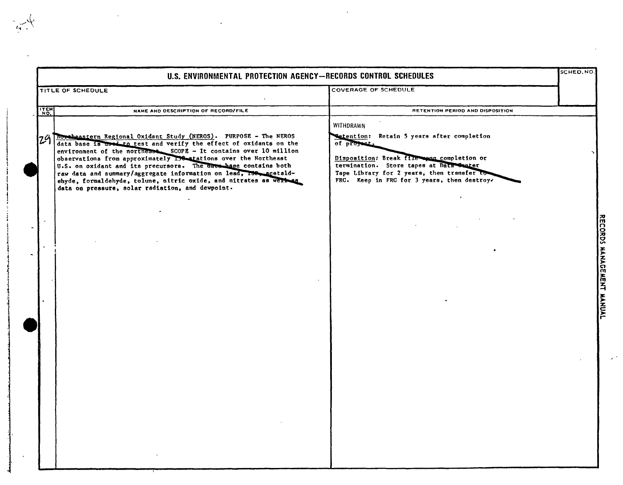|             |                                                                                                                                                                                                                                                                                                                                                                                                                                                                                                                                                    | U.S. ENVIRONMENTAL PROTECTION AGENCY-RECORDS CONTROL SCHEDULES                                                                                                                                                                                               |  |
|-------------|----------------------------------------------------------------------------------------------------------------------------------------------------------------------------------------------------------------------------------------------------------------------------------------------------------------------------------------------------------------------------------------------------------------------------------------------------------------------------------------------------------------------------------------------------|--------------------------------------------------------------------------------------------------------------------------------------------------------------------------------------------------------------------------------------------------------------|--|
|             | TITLE OF SCHEDULE                                                                                                                                                                                                                                                                                                                                                                                                                                                                                                                                  | <b>COVERAGE OF SCHEDULE</b>                                                                                                                                                                                                                                  |  |
| <b>TTEM</b> | NAME AND DESCRIPTION OF RECORD/FILE                                                                                                                                                                                                                                                                                                                                                                                                                                                                                                                | RETENTION PERIOD AND DISPOSITION                                                                                                                                                                                                                             |  |
|             | 24 Mortheastern Regional Oxidant Study (NEROS). PURPOSE - The NEROS<br>data base is used to test and verify the effect of oxidants on the<br>environment of the northease SCOPE - It contains over 10 million<br>observations from approximately 198 atations over the Northeast<br>U.S. on oxidant and its precursors. The date hase contains both<br>raw data and summary/aggregate information on lead, 158, acetald-<br>ehyde, formaldehyde, tolune, nitric oxide, and nitrates as were as<br>data on pressure, solar radiation, and dewpoint. | WITHDRAWN<br>Retention: Retain 5 years after completion<br>of project.<br>Disposition: Break file wean completion or<br>termination. Store tapes at Data Santer<br>Tape Library for 2 years, then transfer to<br>FRC. Keep in FRC for 3 years, then destroy. |  |
|             |                                                                                                                                                                                                                                                                                                                                                                                                                                                                                                                                                    |                                                                                                                                                                                                                                                              |  |
|             |                                                                                                                                                                                                                                                                                                                                                                                                                                                                                                                                                    |                                                                                                                                                                                                                                                              |  |
|             |                                                                                                                                                                                                                                                                                                                                                                                                                                                                                                                                                    |                                                                                                                                                                                                                                                              |  |

: i 1 I  $, \, \, \cdot \,$   $\mathcal{L}$ 

إ  $\tilde{\S}$ i e a de mesma de la c

j

فاستطاعته منا

1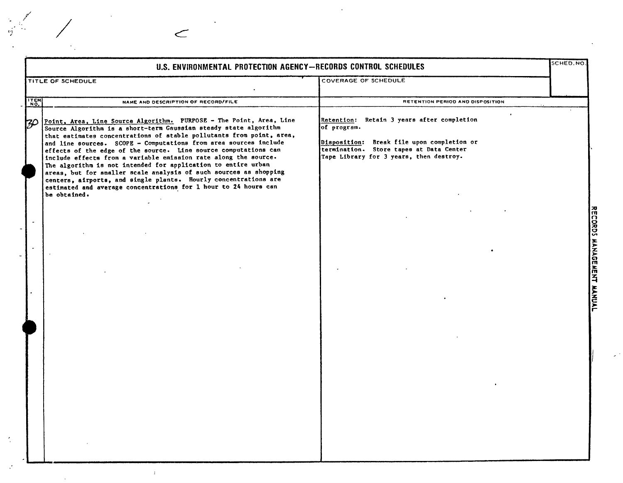|       | U.S. ENVIRONMENTAL PROTECTION AGENCY-RECORDS CONTROL SCHEDULES                                                                                                                                                                                                                                                                                                                                                                                                                                                                                                                                                                                                                                                        |                                                                                                                                                                                                            | SCHED.NO.      |
|-------|-----------------------------------------------------------------------------------------------------------------------------------------------------------------------------------------------------------------------------------------------------------------------------------------------------------------------------------------------------------------------------------------------------------------------------------------------------------------------------------------------------------------------------------------------------------------------------------------------------------------------------------------------------------------------------------------------------------------------|------------------------------------------------------------------------------------------------------------------------------------------------------------------------------------------------------------|----------------|
|       | TITLE OF SCHEDULE                                                                                                                                                                                                                                                                                                                                                                                                                                                                                                                                                                                                                                                                                                     | <b>COVERAGE OF SCHEDULE</b>                                                                                                                                                                                |                |
| TTEM! | NAME AND DESCRIPTION OF RECORD/FILE                                                                                                                                                                                                                                                                                                                                                                                                                                                                                                                                                                                                                                                                                   | RETENTION PERIOD AND DISPOSITION                                                                                                                                                                           |                |
| 30    | Point, Area, Line Source Algorithm. PURPOSE - The Point, Area, Line<br>Source Algorithm is a short-term Gaussian steady state algorithm<br>that estimates concentrations of stable pollutants from point, area,<br>and line sources. SCOPE - Computations from area sources include<br>effects of the edge of the source. Line source computations can<br>include effects from a variable emission rate along the source.<br>The algorithm is not intended for application to entire urban<br>areas, but for smaller scale analysis of such sources as shopping<br>centers, airports, and single plants. Hourly concentrations are<br>estimated and average concentrations for 1 hour to 24 hours can<br>be obtained. | $\bullet$<br>Retention: Retain 3 years after completion<br>of program.<br>Disposition: Break file upon completion or<br>termination. Store tapes at Data Center<br>Tape Library for 3 years, then destroy. |                |
|       |                                                                                                                                                                                                                                                                                                                                                                                                                                                                                                                                                                                                                                                                                                                       |                                                                                                                                                                                                            | <b>RECORDS</b> |
|       |                                                                                                                                                                                                                                                                                                                                                                                                                                                                                                                                                                                                                                                                                                                       |                                                                                                                                                                                                            | <b>MANAGE</b>  |
|       |                                                                                                                                                                                                                                                                                                                                                                                                                                                                                                                                                                                                                                                                                                                       |                                                                                                                                                                                                            | MENT MANUAL    |
|       |                                                                                                                                                                                                                                                                                                                                                                                                                                                                                                                                                                                                                                                                                                                       |                                                                                                                                                                                                            |                |
|       |                                                                                                                                                                                                                                                                                                                                                                                                                                                                                                                                                                                                                                                                                                                       |                                                                                                                                                                                                            |                |
|       |                                                                                                                                                                                                                                                                                                                                                                                                                                                                                                                                                                                                                                                                                                                       |                                                                                                                                                                                                            |                |

 $\frac{1}{2}$ 

 $\epsilon$ 

 $\bar{T}$ 

 $\sim$   $\sim$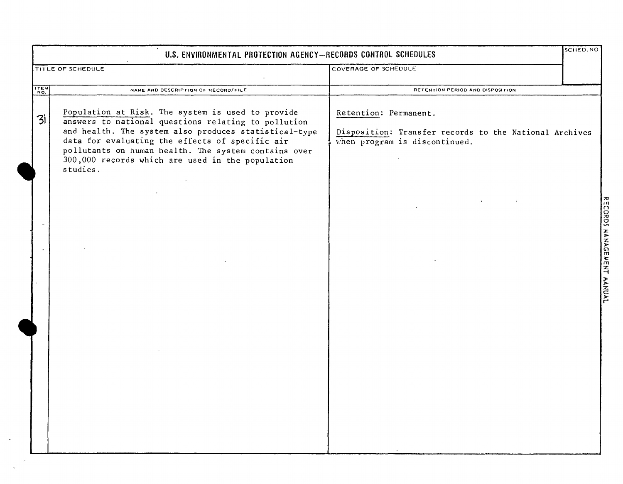| U.S. ENVIRONMENTAL PROTECTION AGENCY-RECORDS CONTROL SCHEDULES |                                                                                                                                                                                                                                                                                                                                              |                                                                                                                  | SCHED.NO                  |
|----------------------------------------------------------------|----------------------------------------------------------------------------------------------------------------------------------------------------------------------------------------------------------------------------------------------------------------------------------------------------------------------------------------------|------------------------------------------------------------------------------------------------------------------|---------------------------|
|                                                                | TITLE OF SCHEDULE                                                                                                                                                                                                                                                                                                                            | COVERAGE OF SCHEDULE                                                                                             |                           |
| <b>ITEM</b>                                                    | NAME AND DESCRIPTION OF RECORD/FILE                                                                                                                                                                                                                                                                                                          | RETENTION PERIOD AND DISPOSITION                                                                                 |                           |
| 31                                                             | Population at Risk. The system is used to provide<br>answers to national questions relating to pollution<br>and health. The system also produces statistical-type<br>data for evaluating the effects of specific air<br>pollutants on human health. The system contains over<br>300,000 records which are used in the population<br>studies. | Retention: Permanent.<br>Disposition: Transfer records to the National Archives<br>when program is discontinued. |                           |
|                                                                |                                                                                                                                                                                                                                                                                                                                              |                                                                                                                  | RECORDS MANAGEMENT MANUAL |
|                                                                |                                                                                                                                                                                                                                                                                                                                              |                                                                                                                  |                           |

 $\epsilon$ 

 $\sim$  $\bar{\mathcal{A}}$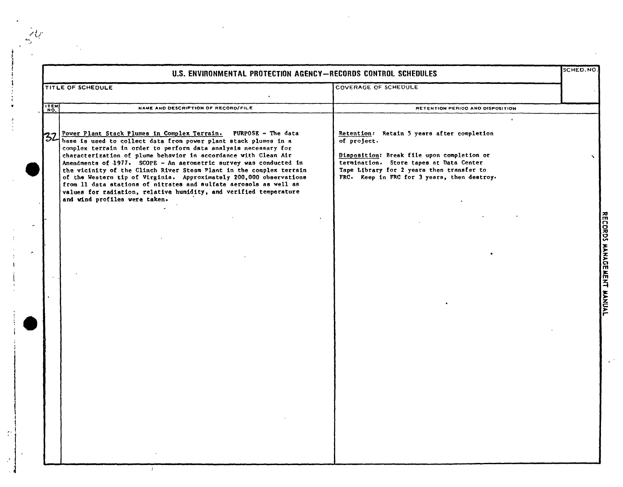|             | U.S. ENVIRONMENTAL PROTECTION AGENCY-RECORDS CONTROL SCHEDULES                                                                                                                                                                                                                                                                                                                                                                                                                                                                                                                                                                                                             |                                                                                                                                                                                                                                                | SCHED.NO |
|-------------|----------------------------------------------------------------------------------------------------------------------------------------------------------------------------------------------------------------------------------------------------------------------------------------------------------------------------------------------------------------------------------------------------------------------------------------------------------------------------------------------------------------------------------------------------------------------------------------------------------------------------------------------------------------------------|------------------------------------------------------------------------------------------------------------------------------------------------------------------------------------------------------------------------------------------------|----------|
|             | TITLE OF SCHEDULE                                                                                                                                                                                                                                                                                                                                                                                                                                                                                                                                                                                                                                                          | COVERAGE OF SCHEDULE                                                                                                                                                                                                                           |          |
| <b>ITEM</b> | NAME AND DESCRIPTION OF RECORD/FILE                                                                                                                                                                                                                                                                                                                                                                                                                                                                                                                                                                                                                                        | RETENTION PERIOD AND DISPOSITION                                                                                                                                                                                                               |          |
|             | Power Plant Stack Plumes in Complex Terrain. PURPOSE - The data<br>32 Power Plant Stack Plumes in Compared Assessment Stack plumes in a<br>complex terrain in order to perform data analysis necessary for<br>characterization of plume behavior in accordance with Clean Air<br>Amendments of 1977. SCOPE - An aerometric survey was conducted in<br>the vicinity of the Clinch River Steam Plant in the complex terrain<br>of the Western tip of Virginia. Approximately 200,000 observations<br>from 11 data stations of nitrates and sulfate aerosols as well as<br>values for radiation, relative humidity, and verified temperature<br>and wind profiles were taken. | Retention: Retain 5 years after completion<br>of project.<br>Disposition: Break file upon completion or<br>termination. Store tapes at Data Center<br>Tape Library for 2 years then transfer to<br>FRC. Keep in FRC for 3 years, then destroy. |          |
|             |                                                                                                                                                                                                                                                                                                                                                                                                                                                                                                                                                                                                                                                                            |                                                                                                                                                                                                                                                |          |
|             |                                                                                                                                                                                                                                                                                                                                                                                                                                                                                                                                                                                                                                                                            |                                                                                                                                                                                                                                                |          |
|             |                                                                                                                                                                                                                                                                                                                                                                                                                                                                                                                                                                                                                                                                            |                                                                                                                                                                                                                                                |          |
|             |                                                                                                                                                                                                                                                                                                                                                                                                                                                                                                                                                                                                                                                                            |                                                                                                                                                                                                                                                |          |
|             |                                                                                                                                                                                                                                                                                                                                                                                                                                                                                                                                                                                                                                                                            |                                                                                                                                                                                                                                                |          |
|             |                                                                                                                                                                                                                                                                                                                                                                                                                                                                                                                                                                                                                                                                            |                                                                                                                                                                                                                                                |          |
|             |                                                                                                                                                                                                                                                                                                                                                                                                                                                                                                                                                                                                                                                                            |                                                                                                                                                                                                                                                |          |

:I

 $\mathbb{C}$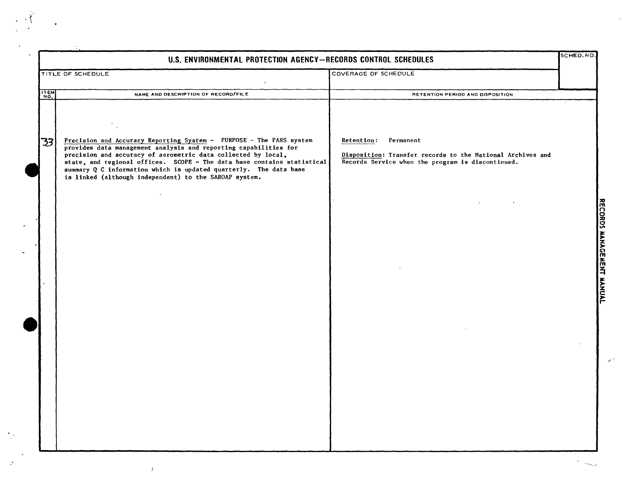|      | U.S. ENVIRONMENTAL PROTECTION AGENCY-RECORDS CONTROL SCHEDULES<br><b>COVERAGE OF SCHEDULE</b><br>TITLE OF SCHEDULE                                                                                                                                                                                                                                                                                                 |                                                                                                                                            | SCHED, NO |
|------|--------------------------------------------------------------------------------------------------------------------------------------------------------------------------------------------------------------------------------------------------------------------------------------------------------------------------------------------------------------------------------------------------------------------|--------------------------------------------------------------------------------------------------------------------------------------------|-----------|
|      |                                                                                                                                                                                                                                                                                                                                                                                                                    |                                                                                                                                            |           |
| ITEM | NAME AND DESCRIPTION OF RECORD/FILE                                                                                                                                                                                                                                                                                                                                                                                | RETENTION PERIOD AND DISPOSITION                                                                                                           |           |
| 731  | Precision and Accuracy Reporting System - PURPOSE - The PARS system<br>provides data management analysis and reporting capabilities for<br>precision and accuracy of aerometric data collected by local,<br>state, and regional offices. SCOPE - The data base contains statistical<br>summary Q C information which is updated quarterly. The data base<br>is linked (although independent) to the SAROAP system. | Retention:<br>Permanent<br>Disposition: Transfer records to the National Archives and<br>Records Service when the program is discontinued. |           |
|      |                                                                                                                                                                                                                                                                                                                                                                                                                    |                                                                                                                                            |           |

 $\frac{1}{2}$ 

 $\mathcal{P}^{(2)}$ 

 $\mathcal{L}_{\mathcal{C}}$ 

 $\mathbb{R}^{2n}$ 

 $\mathcal{L}^{\text{max}}$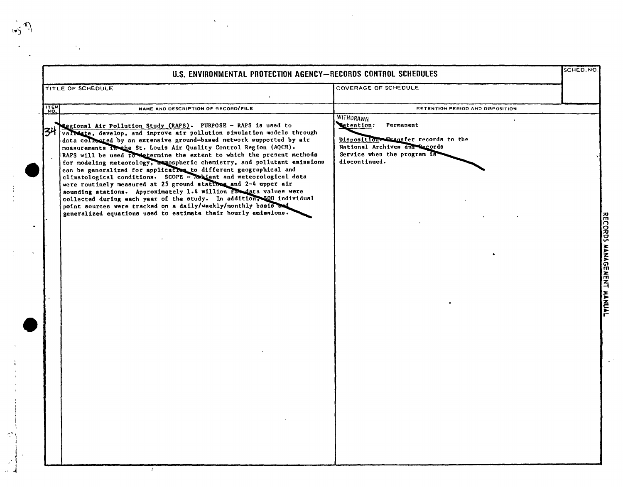| TITLE OF SCHEDULE |
|-------------------|
|                   |
| ITEM              |
|                   |

t,

 $\sqrt{2}$ 

 $\frac{1}{3}$ 

 $\mathcal{L}^{\bullet}$ 

 $\boldsymbol{\epsilon}$ 

 $\mathcal{C}_{\mathbf{v}}$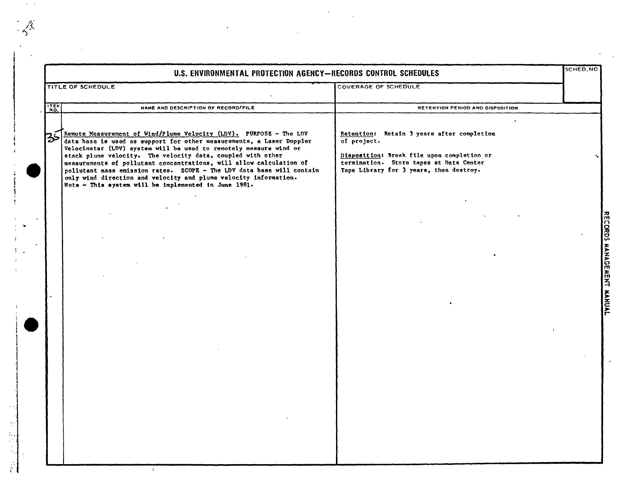|             | U.S. ENVIRONMENTAL PROTECTION AGENCY-RECORDS CONTROL SCHEDULES                                                                                                                                                                                                                                                                                                                                                                                                                                                                                             |                                                                                                                                                                                                            | SCHED.NO                  |
|-------------|------------------------------------------------------------------------------------------------------------------------------------------------------------------------------------------------------------------------------------------------------------------------------------------------------------------------------------------------------------------------------------------------------------------------------------------------------------------------------------------------------------------------------------------------------------|------------------------------------------------------------------------------------------------------------------------------------------------------------------------------------------------------------|---------------------------|
|             | TITLE OF SCHEDULE                                                                                                                                                                                                                                                                                                                                                                                                                                                                                                                                          | COVERAGE OF SCHEDULE                                                                                                                                                                                       |                           |
| <b>ITEN</b> | NAME AND DESCRIPTION OF RECORD/FILE                                                                                                                                                                                                                                                                                                                                                                                                                                                                                                                        | RETENTION PERIOD AND DISPOSITION                                                                                                                                                                           |                           |
| 35          | Remote Measurement of Wind/Plume Velocity (LDV). PURPOSE - The LDV<br>data base is used as support for other measurements, a Laser Doppler<br>Velocimeter (LDV) system will be used to remotely measure wind or<br>stack plume velocity. The velocity data, coupled with other<br>measurements of pollutant concentrations, will allow calculation of<br>pollutant mass emission rates. SCOPE - The LDV data base will contain<br>only wind direction and velocity and plume velocity information.<br>Note - This system will be implemented in June 1981. | $\bullet$<br>Retention: Retain 3 years after completion<br>of project.<br>Disposition: Break file upon completion or<br>termination. Store tapes at Data Center<br>Tape Library for 3 years, then destroy. |                           |
|             |                                                                                                                                                                                                                                                                                                                                                                                                                                                                                                                                                            |                                                                                                                                                                                                            |                           |
|             |                                                                                                                                                                                                                                                                                                                                                                                                                                                                                                                                                            |                                                                                                                                                                                                            |                           |
|             |                                                                                                                                                                                                                                                                                                                                                                                                                                                                                                                                                            |                                                                                                                                                                                                            | RECORDS MANAGEMENT MANUAL |
|             |                                                                                                                                                                                                                                                                                                                                                                                                                                                                                                                                                            |                                                                                                                                                                                                            |                           |
|             |                                                                                                                                                                                                                                                                                                                                                                                                                                                                                                                                                            |                                                                                                                                                                                                            |                           |
|             |                                                                                                                                                                                                                                                                                                                                                                                                                                                                                                                                                            |                                                                                                                                                                                                            |                           |
|             |                                                                                                                                                                                                                                                                                                                                                                                                                                                                                                                                                            |                                                                                                                                                                                                            |                           |

 $\mathcal{A}$ 

 $\frac{1}{2}$ 

 $\mathcal{L}^{\pm}$ 

'.

 $\sim$ 

 $\mathbb{R}^2$ 

 $\frac{4}{4}$ 

 $\frac{1}{2}$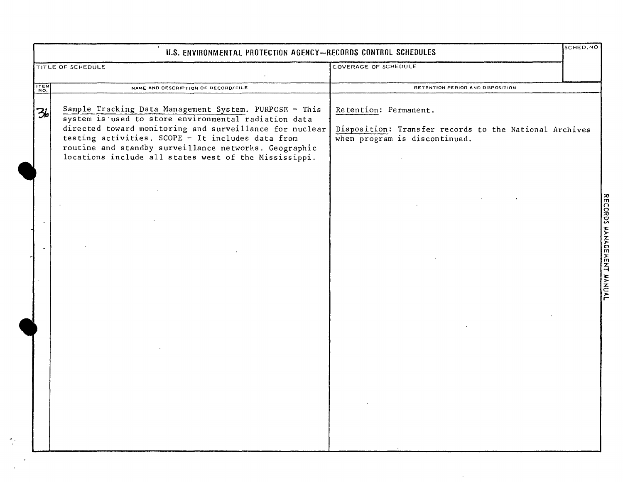| U.S. ENVIRONMENTAL PROTECTION AGENCY-RECORDS CONTROL SCHEDULES |                                                                                                                                                                                                                                                                                                                                                  |                                                                                                                  |                                                                 |  |
|----------------------------------------------------------------|--------------------------------------------------------------------------------------------------------------------------------------------------------------------------------------------------------------------------------------------------------------------------------------------------------------------------------------------------|------------------------------------------------------------------------------------------------------------------|-----------------------------------------------------------------|--|
|                                                                | TITLE OF SCHEDULE                                                                                                                                                                                                                                                                                                                                | COVERAGE OF SCHEDULE                                                                                             |                                                                 |  |
| ITEM                                                           | NAME AND DESCRIPTION OF RECORD/FILE                                                                                                                                                                                                                                                                                                              | RETENTION PERIOD AND DISPOSITION                                                                                 |                                                                 |  |
| 36                                                             | Sample Tracking Data Management System. PURPOSE - This<br>system is used to store environmental radiation data<br>directed toward monitoring and surveillance for nuclear<br>testing activities. SCOPE - It includes data from<br>routine and standby surveillance networks. Geographic<br>locations include all states west of the Mississippi. | Retention: Permanent.<br>Disposition: Transfer records to the National Archives<br>when program is discontinued. |                                                                 |  |
|                                                                |                                                                                                                                                                                                                                                                                                                                                  |                                                                                                                  | <b>RECORDS</b><br><b>HANAGE</b><br><b>HENT</b><br><b>HANUAL</b> |  |
|                                                                |                                                                                                                                                                                                                                                                                                                                                  |                                                                                                                  |                                                                 |  |

 $\sim 10^{-1}$ 

 $\frac{1}{\sqrt{2}}$  :

 $\cdot$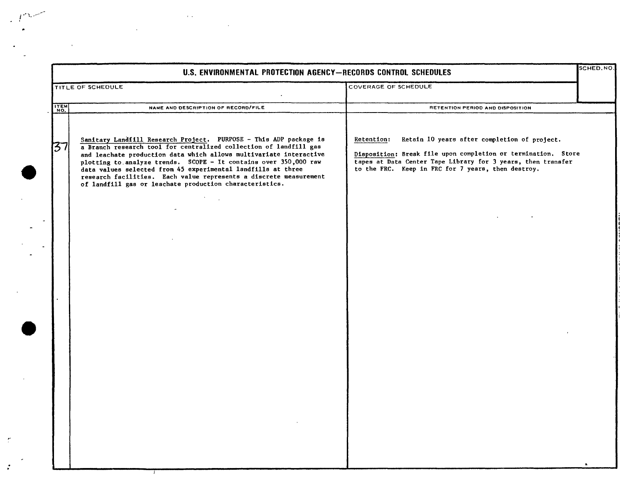|             |                                                                                                                                                                                                                                                                                                                                                                                                                                                                                  |                                                                                                                                                                                                                                                                                                                                                                                                                                  | SCHED.NO. |
|-------------|----------------------------------------------------------------------------------------------------------------------------------------------------------------------------------------------------------------------------------------------------------------------------------------------------------------------------------------------------------------------------------------------------------------------------------------------------------------------------------|----------------------------------------------------------------------------------------------------------------------------------------------------------------------------------------------------------------------------------------------------------------------------------------------------------------------------------------------------------------------------------------------------------------------------------|-----------|
|             | TITLE OF SCHEDULE                                                                                                                                                                                                                                                                                                                                                                                                                                                                | U.S. ENVIRONMENTAL PROTECTION AGENCY-RECORDS CONTROL SCHEDULES<br>COVERAGE OF SCHEDULE<br>NAME AND DESCRIPTION OF RECORD/FILE<br>RETENTION PERIOD AND DISPOSITION<br>Retain 10 years after completion of project.<br>Retention:<br>Disposition: Break file upon completion or termination. Store<br>tapes at Data Center Tape Library for 3 years, then transfer<br>to the FRC. Keep in FRC for 7 years, then destroy.<br>$\sim$ |           |
| ITEM<br>NO. |                                                                                                                                                                                                                                                                                                                                                                                                                                                                                  |                                                                                                                                                                                                                                                                                                                                                                                                                                  |           |
| 37          | Sanitary Landfill Research Project. PURPOSE - This ADP package is<br>a Branch research tool for centralized collection of landfill gas<br>and leachate production data which allows multivariate interactive<br>plotting to analyze trends. SCOPE - It contains over 350,000 raw<br>data values selected from 45 experimental landfills at three<br>research facilities. Each value represents a discrete measurement<br>of landfill gas or leachate production characteristics. |                                                                                                                                                                                                                                                                                                                                                                                                                                  |           |
|             |                                                                                                                                                                                                                                                                                                                                                                                                                                                                                  |                                                                                                                                                                                                                                                                                                                                                                                                                                  |           |

 $\sim 10^{11}$  km

the contract of the contract of the

 $\mathcal{L}^{\text{max}}_{\text{max}}$  and  $\mathcal{L}^{\text{max}}_{\text{max}}$ 

 $\sim 10^{11}$  km  $^{-1}$ 

..

 $\sim$   $\sim$ 

 $\alpha$ 

 $\sim 10^7$ 

 $\sim 10$ 

 $\sim$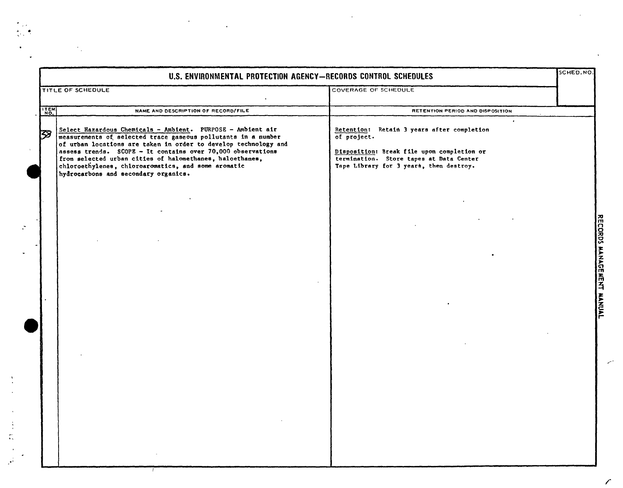|             | U.S. ENVIRONMENTAL PROTECTION AGENCY-RECORDS CONTROL SCHEDULES                                                                                                                                                                                                                                                                                                                                                            |                                                                                                                                                                                                                       | SCHED.NO. |
|-------------|---------------------------------------------------------------------------------------------------------------------------------------------------------------------------------------------------------------------------------------------------------------------------------------------------------------------------------------------------------------------------------------------------------------------------|-----------------------------------------------------------------------------------------------------------------------------------------------------------------------------------------------------------------------|-----------|
|             | TITLE OF SCHEDULE                                                                                                                                                                                                                                                                                                                                                                                                         | COVERAGE OF SCHEDULE                                                                                                                                                                                                  |           |
| <b>ITEM</b> | NAME AND DESCRIPTION OF RECORD/FILE                                                                                                                                                                                                                                                                                                                                                                                       | RETENTION PERIOD AND DISPOSITION                                                                                                                                                                                      |           |
| 133         | Select Hazardous Chemicals - Ambient. PURPOSE - Ambient air<br>measurements of selected trace gaseous pollutants in a number<br>of urban locations are taken in order to develop technology and<br>assess trends. SCOPE - It contains over 70,000 observations<br>from selected urban cities of halomethanes, haloethanes,<br>chloroethylenes, chloroaromatics, and some aromatic<br>hydrocarbons and secondary organics. | $\ddot{\phantom{a}}$<br>Retention: Retain 3 years after completion<br>of project.<br>Disposition: Break file upon completion or<br>termination. Store tapes at Data Center<br>Tape Library for 3 years, then destroy. |           |
|             |                                                                                                                                                                                                                                                                                                                                                                                                                           |                                                                                                                                                                                                                       |           |
|             |                                                                                                                                                                                                                                                                                                                                                                                                                           |                                                                                                                                                                                                                       |           |
|             |                                                                                                                                                                                                                                                                                                                                                                                                                           |                                                                                                                                                                                                                       |           |
|             |                                                                                                                                                                                                                                                                                                                                                                                                                           |                                                                                                                                                                                                                       |           |
|             |                                                                                                                                                                                                                                                                                                                                                                                                                           |                                                                                                                                                                                                                       |           |
|             |                                                                                                                                                                                                                                                                                                                                                                                                                           |                                                                                                                                                                                                                       |           |
|             |                                                                                                                                                                                                                                                                                                                                                                                                                           |                                                                                                                                                                                                                       |           |
|             |                                                                                                                                                                                                                                                                                                                                                                                                                           |                                                                                                                                                                                                                       |           |
|             |                                                                                                                                                                                                                                                                                                                                                                                                                           |                                                                                                                                                                                                                       |           |
|             |                                                                                                                                                                                                                                                                                                                                                                                                                           |                                                                                                                                                                                                                       |           |
|             |                                                                                                                                                                                                                                                                                                                                                                                                                           |                                                                                                                                                                                                                       |           |
|             |                                                                                                                                                                                                                                                                                                                                                                                                                           |                                                                                                                                                                                                                       |           |

.'

m<br>CORD. % ~ Cl m ~ ~ ~

 $\sim 10^{11}$ 

 $\omega^{\mu\mu}$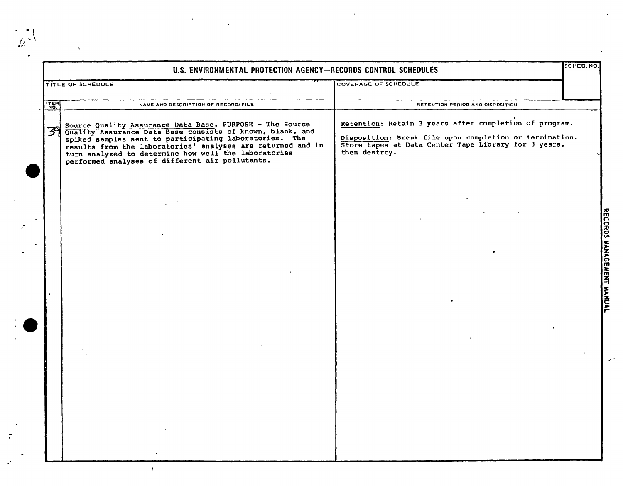|      | TITLE OF SCHEDULE                                                                                                                                                                                                                                                                 | <b>COVERAGE OF SCHEDULE</b>                                                                                                                                                                |  |
|------|-----------------------------------------------------------------------------------------------------------------------------------------------------------------------------------------------------------------------------------------------------------------------------------|--------------------------------------------------------------------------------------------------------------------------------------------------------------------------------------------|--|
| ITEM | NAME AND DESCRIPTION OF RECORD/FILE                                                                                                                                                                                                                                               | RETENTION PERIOD ANO DISPOSITION                                                                                                                                                           |  |
|      | Source Quality Assurance Data Base. PURPOSE - The Source Quality Assurance Data Base consists of known, blank, and spiked samples sent to participating laboratories. The results from the laboratories' analyses are returned<br>performed analyses of different air pollutants. | Retention: Retain 3 years after completion of program.<br>Disposition: Break file upon completion or termination.<br>Store tapes at Data Center Tape Library for 3 years,<br>then destroy. |  |
|      |                                                                                                                                                                                                                                                                                   |                                                                                                                                                                                            |  |
|      |                                                                                                                                                                                                                                                                                   |                                                                                                                                                                                            |  |

 $\frac{1}{2}$  ,  $\frac{1}{2}$ 

 $\mathcal{L}^{\text{max}}$ 

·\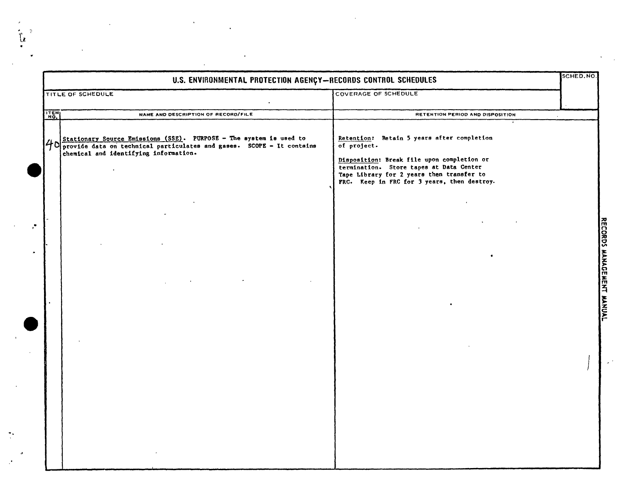|      | U.S. ENVIRONMENTAL PROTECTION AGENÇY-RECORDS CONTROL SCHEDULES                                                                                                                         |                                                                                                                                                                                                                                                | SCHED, NO. |
|------|----------------------------------------------------------------------------------------------------------------------------------------------------------------------------------------|------------------------------------------------------------------------------------------------------------------------------------------------------------------------------------------------------------------------------------------------|------------|
|      | <b>TITLE OF SCHEDULE</b>                                                                                                                                                               | COVERAGE OF SCHEDULE                                                                                                                                                                                                                           |            |
| ITEM | NAME AND DESCRIPTION OF RECORD/FILE                                                                                                                                                    | RETENTION PERIOD AND DISPOSITION                                                                                                                                                                                                               |            |
|      | $40$ Stationary Source Emissions (SSE). PURPOSE - The system is used to provide data on technical particulates and gases. SCOPE - It contains<br>chemical and identifying information. | Retention: Retain 5 years after completion<br>of project.<br>Disposition: Break file upon completion or<br>termination. Store tapes at Data Center<br>Tape Library for 2 years then transfer to<br>FRC. Keep in FRC for 3 years, then destroy. |            |
|      |                                                                                                                                                                                        |                                                                                                                                                                                                                                                |            |
|      |                                                                                                                                                                                        |                                                                                                                                                                                                                                                |            |
|      |                                                                                                                                                                                        |                                                                                                                                                                                                                                                |            |
|      |                                                                                                                                                                                        |                                                                                                                                                                                                                                                |            |
|      |                                                                                                                                                                                        |                                                                                                                                                                                                                                                |            |

 $\mathcal{A}^{\text{max}}_{\text{max}}$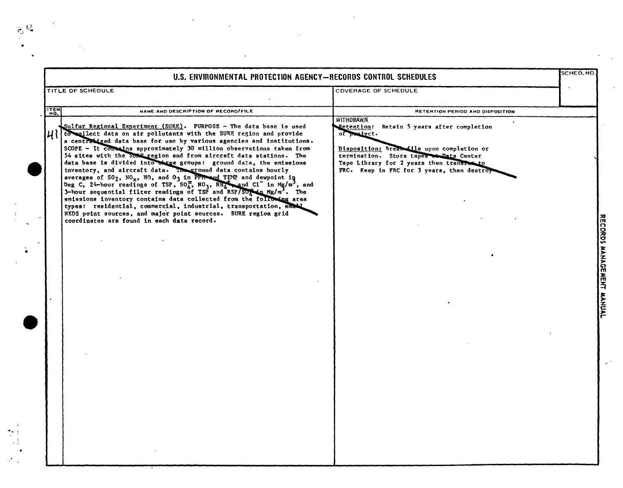•

 $\frac{1}{2}$ 

•

.,.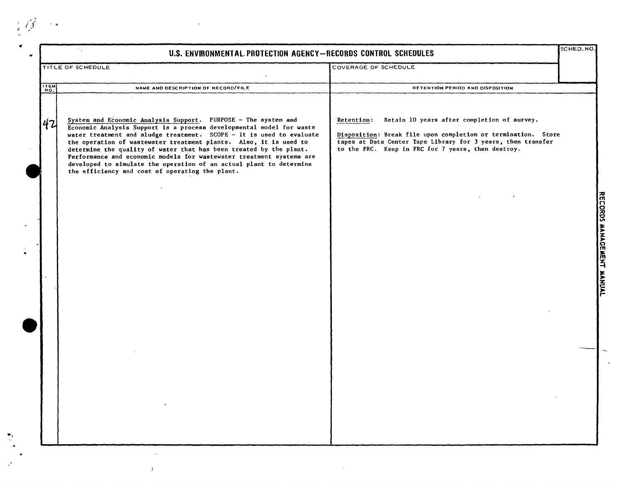|      | $\mathcal{F}(\mathcal{L})$<br>U.S. ENVIRONMENTAL PROTECTION AGENCY-RECORDS CONTROL SCHEDULES                                                                                                                                                                                                                                                                                                                                                                                                                                                                |                                                                                                                                                                                                                                                  | SCHED. NO |
|------|-------------------------------------------------------------------------------------------------------------------------------------------------------------------------------------------------------------------------------------------------------------------------------------------------------------------------------------------------------------------------------------------------------------------------------------------------------------------------------------------------------------------------------------------------------------|--------------------------------------------------------------------------------------------------------------------------------------------------------------------------------------------------------------------------------------------------|-----------|
|      | <b>TITLE OF SCHEDULE</b>                                                                                                                                                                                                                                                                                                                                                                                                                                                                                                                                    | COVERAGE OF SCHEDULE                                                                                                                                                                                                                             |           |
| ITEM | NAME AND DESCRIPTION OF RECORD/FILE                                                                                                                                                                                                                                                                                                                                                                                                                                                                                                                         | RETENTION PERIOD AND DISPOSITION                                                                                                                                                                                                                 |           |
| 42   | System and Economic Analysis Support. PURPOSE - The system and<br>Economic Analysis Support is a process developmental model for waste<br>water treatment and sludge treatment. SCOPE - It is used to evaluate<br>the operation of wastewater treatment plants. Also, it is used to<br>determine the quality of water that has been treated by the plant.<br>Performance and economic models for wastewater treatment systems are<br>developed to simulate the operation of an actual plant to determine<br>the efficiency and cost of operating the plant. | Retain 10 years after completion of survey.<br>Retention:<br>Disposition: Break file upon completion or termination. Store<br>tapes at Data Center Tape Library for 3 years, then transfer<br>to the FRC. Keep in FRC for 7 years, then destroy. |           |
|      |                                                                                                                                                                                                                                                                                                                                                                                                                                                                                                                                                             |                                                                                                                                                                                                                                                  |           |
|      |                                                                                                                                                                                                                                                                                                                                                                                                                                                                                                                                                             |                                                                                                                                                                                                                                                  |           |
|      |                                                                                                                                                                                                                                                                                                                                                                                                                                                                                                                                                             |                                                                                                                                                                                                                                                  |           |
|      |                                                                                                                                                                                                                                                                                                                                                                                                                                                                                                                                                             |                                                                                                                                                                                                                                                  |           |
|      |                                                                                                                                                                                                                                                                                                                                                                                                                                                                                                                                                             |                                                                                                                                                                                                                                                  |           |
|      |                                                                                                                                                                                                                                                                                                                                                                                                                                                                                                                                                             |                                                                                                                                                                                                                                                  |           |
|      |                                                                                                                                                                                                                                                                                                                                                                                                                                                                                                                                                             |                                                                                                                                                                                                                                                  |           |
|      |                                                                                                                                                                                                                                                                                                                                                                                                                                                                                                                                                             |                                                                                                                                                                                                                                                  |           |
|      | <b>Contract Avenue</b>                                                                                                                                                                                                                                                                                                                                                                                                                                                                                                                                      |                                                                                                                                                                                                                                                  |           |
|      |                                                                                                                                                                                                                                                                                                                                                                                                                                                                                                                                                             |                                                                                                                                                                                                                                                  |           |

 $\mathcal{L}^{\text{max}}$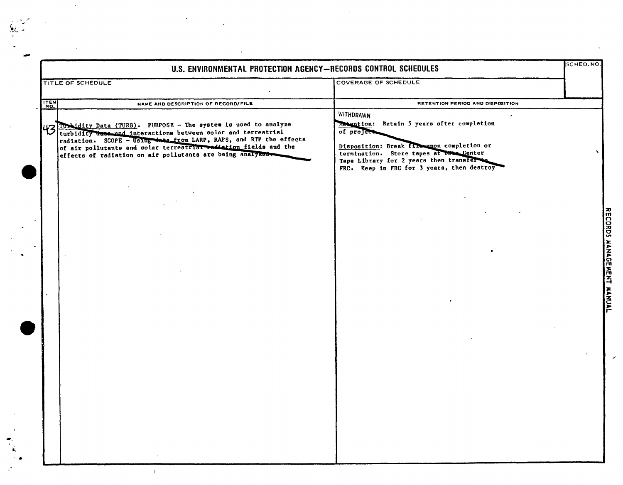|                   | U.S. ENVIRONMENTAL PROTECTION AGENCY-RECORDS CONTROL SCHEDULES                                                                                                                                                                                                                                                                           |                                                                                                                                                                                                                                                                           | SCHED.NO.                 |
|-------------------|------------------------------------------------------------------------------------------------------------------------------------------------------------------------------------------------------------------------------------------------------------------------------------------------------------------------------------------|---------------------------------------------------------------------------------------------------------------------------------------------------------------------------------------------------------------------------------------------------------------------------|---------------------------|
|                   | TITLE OF SCHEDULE                                                                                                                                                                                                                                                                                                                        | COVERAGE OF SCHEDULE                                                                                                                                                                                                                                                      |                           |
| $\frac{17EM}{NQ}$ | NAME AND DESCRIPTION OF RECORD/FILE                                                                                                                                                                                                                                                                                                      | RETENTION PERIOD AND DISPOSITION                                                                                                                                                                                                                                          |                           |
|                   | 43 Iuridity Data (TURB). PURPOSE - The system is used to analyze<br>turbidity data and interactions between solar and terrestrial<br>radiation. SCOPE - Using data from LARP, RAPS, and RTP the effects<br>of air pollutants and solar terrestrial rediation fields and the<br>effects of radiation on air pollutants are being analyzed | WITHDRAWN<br>$\bullet$<br>Retain 5 years after completion<br>Retention:<br>of project<br>Disposition: Break fire upon completion or<br>termination. Store tapes at Date Center<br>Tape Library for 2 years then transfer to<br>FRC. Keep in FRC for 3 years, then destroy |                           |
|                   |                                                                                                                                                                                                                                                                                                                                          |                                                                                                                                                                                                                                                                           | RECORDS MANAGEMENT MANUAL |
|                   |                                                                                                                                                                                                                                                                                                                                          |                                                                                                                                                                                                                                                                           |                           |
|                   |                                                                                                                                                                                                                                                                                                                                          |                                                                                                                                                                                                                                                                           |                           |
|                   |                                                                                                                                                                                                                                                                                                                                          |                                                                                                                                                                                                                                                                           |                           |

 $\bar{z}$ 

 $\sum_{i=1}^{n}$ 

 $\ddot{\phantom{a}}$ 

 $\ddot{\phantom{0}}$